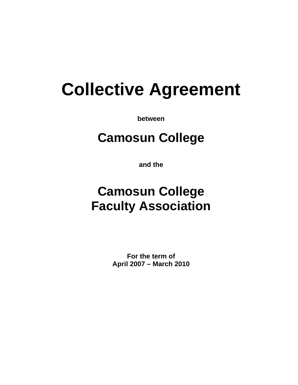# **Collective Agreement**

**between** 

# **Camosun College**

**and the** 

# **Camosun College Faculty Association**

**For the term of April 2007 – March 2010**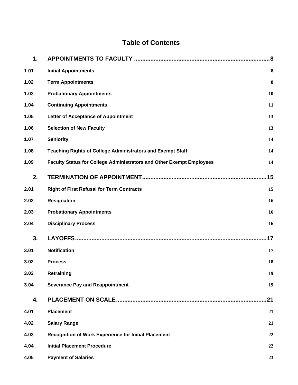# **Table of Contents**

| 1.   |                                                                      |     |  |  |
|------|----------------------------------------------------------------------|-----|--|--|
| 1.01 | <b>Initial Appointments</b>                                          | 8   |  |  |
| 1.02 | <b>Term Appointments</b>                                             | 8   |  |  |
| 1.03 | <b>Probationary Appointments</b>                                     | 10  |  |  |
| 1.04 | <b>Continuing Appointments</b><br>11                                 |     |  |  |
| 1.05 | Letter of Acceptance of Appointment                                  | 13  |  |  |
| 1.06 | <b>Selection of New Faculty</b>                                      | 13  |  |  |
| 1.07 | <b>Seniority</b>                                                     | 14  |  |  |
| 1.08 | <b>Teaching Rights of College Administrators and Exempt Staff</b>    | 14  |  |  |
| 1.09 | Faculty Status for College Administrators and Other Exempt Employees | 14  |  |  |
| 2.   |                                                                      | .15 |  |  |
| 2.01 | <b>Right of First Refusal for Term Contracts</b>                     | 15  |  |  |
| 2.02 | <b>Resignation</b>                                                   | 16  |  |  |
| 2.03 | <b>Probationary Appointments</b>                                     | 16  |  |  |
| 2.04 | <b>Disciplinary Process</b>                                          | 16  |  |  |
| 3.   |                                                                      |     |  |  |
| 3.01 | <b>Notification</b>                                                  | 17  |  |  |
| 3.02 | <b>Process</b>                                                       | 18  |  |  |
| 3.03 | Retraining                                                           | 19  |  |  |
| 3.04 | <b>Severance Pay and Reappointment</b>                               | 19  |  |  |
| 4.   |                                                                      | 21  |  |  |
| 4.01 | <b>Placement</b>                                                     | 21  |  |  |
| 4.02 | <b>Salary Range</b>                                                  | 21  |  |  |
| 4.03 | <b>Recognition of Work Experience for Initial Placement</b>          | 22  |  |  |
| 4.04 | <b>Initial Placement Procedure</b>                                   | 22  |  |  |
| 4.05 | <b>Payment of Salaries</b>                                           | 23  |  |  |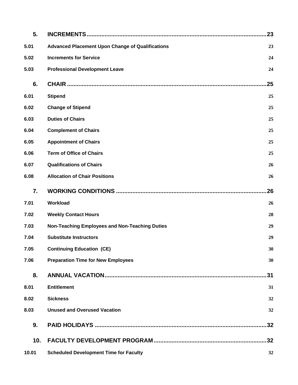| 5.    |                                                         | 23  |  |
|-------|---------------------------------------------------------|-----|--|
| 5.01  | <b>Advanced Placement Upon Change of Qualifications</b> | 23  |  |
| 5.02  | <b>Increments for Service</b><br>24                     |     |  |
| 5.03  | <b>Professional Development Leave</b>                   | 24  |  |
| 6.    |                                                         | 25  |  |
| 6.01  | <b>Stipend</b>                                          | 25  |  |
| 6.02  | <b>Change of Stipend</b>                                | 25  |  |
| 6.03  | <b>Duties of Chairs</b>                                 | 25  |  |
| 6.04  | <b>Complement of Chairs</b>                             | 25  |  |
| 6.05  | <b>Appointment of Chairs</b>                            | 25  |  |
| 6.06  | <b>Term of Office of Chairs</b>                         | 25  |  |
| 6.07  | <b>Qualifications of Chairs</b>                         | 26  |  |
| 6.08  | <b>Allocation of Chair Positions</b><br>26              |     |  |
| 7.    | 26                                                      |     |  |
| 7.01  | Workload                                                | 26  |  |
| 7.02  | <b>Weekly Contact Hours</b>                             | 28  |  |
| 7.03  | Non-Teaching Employees and Non-Teaching Duties          | 29  |  |
| 7.04  | <b>Substitute Instructors</b>                           | 29  |  |
| 7.05  | <b>Continuing Education (CE)</b>                        | 30  |  |
| 7.06  | <b>Preparation Time for New Employees</b><br>30         |     |  |
| 8.    |                                                         | 31  |  |
| 8.01  | <b>Entitlement</b>                                      | 31  |  |
| 8.02  | <b>Sickness</b>                                         | 32  |  |
| 8.03  | <b>Unused and Overused Vacation</b>                     | 32  |  |
| 9.    |                                                         | .32 |  |
| 10.   |                                                         |     |  |
| 10.01 | <b>Scheduled Development Time for Faculty</b>           | 32  |  |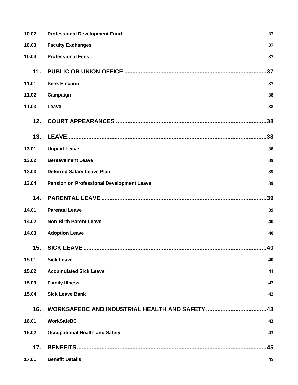| 10.02 | <b>Professional Development Fund</b><br>37       |     |  |
|-------|--------------------------------------------------|-----|--|
| 10.03 | <b>Faculty Exchanges</b>                         | 37  |  |
| 10.04 | <b>Professional Fees</b>                         | 37  |  |
| 11.   |                                                  | 37  |  |
| 11.01 | <b>Seek Election</b>                             | 37  |  |
| 11.02 | Campaign                                         | 38  |  |
| 11.03 | Leave                                            |     |  |
| 12.   |                                                  | .38 |  |
| 13.   |                                                  | 38  |  |
| 13.01 | <b>Unpaid Leave</b>                              | 38  |  |
| 13.02 | <b>Bereavement Leave</b>                         | 39  |  |
| 13.03 | <b>Deferred Salary Leave Plan</b>                | 39  |  |
| 13.04 | <b>Pension on Professional Development Leave</b> | 39  |  |
| 14.   |                                                  | 39  |  |
| 14.01 | <b>Parental Leave</b>                            | 39  |  |
| 14.02 | <b>Non-Birth Parent Leave</b>                    | 40  |  |
| 14.03 | <b>Adoption Leave</b><br>40                      |     |  |
| 15.   | <b>SICK LEAVE </b>                               | 40  |  |
| 15.01 | <b>Sick Leave</b>                                | 40  |  |
| 15.02 | <b>Accumulated Sick Leave</b>                    | 41  |  |
| 15.03 | <b>Family Illness</b>                            | 42  |  |
| 15.04 | <b>Sick Leave Bank</b><br>42                     |     |  |
| 16.   |                                                  | .43 |  |
| 16.01 | <b>WorkSafeBC</b>                                | 43  |  |
| 16.02 | <b>Occupational Health and Safety</b>            | 43  |  |
| 17.   |                                                  | 45  |  |
| 17.01 | <b>Benefit Details</b>                           | 45  |  |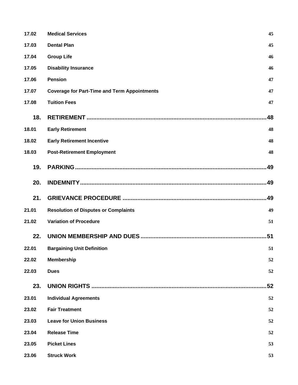| 17.02 | <b>Medical Services</b>                             | 45  |  |
|-------|-----------------------------------------------------|-----|--|
| 17.03 | <b>Dental Plan</b>                                  |     |  |
| 17.04 | <b>Group Life</b>                                   | 46  |  |
| 17.05 | <b>Disability Insurance</b>                         |     |  |
| 17.06 | <b>Pension</b>                                      |     |  |
| 17.07 | <b>Coverage for Part-Time and Term Appointments</b> |     |  |
| 17.08 | <b>Tuition Fees</b>                                 | 47  |  |
| 18.   |                                                     | 48  |  |
| 18.01 | <b>Early Retirement</b>                             | 48  |  |
| 18.02 | <b>Early Retirement Incentive</b>                   | 48  |  |
| 18.03 | <b>Post-Retirement Employment</b>                   | 48  |  |
| 19.   |                                                     | .49 |  |
| 20.   |                                                     | .49 |  |
| 21.   |                                                     | .49 |  |
| 21.01 | <b>Resolution of Disputes or Complaints</b>         | 49  |  |
| 21.02 | <b>Variation of Procedure</b>                       | 51  |  |
| 22.   |                                                     | .51 |  |
| 22.01 | <b>Bargaining Unit Definition</b>                   | 51  |  |
| 22.02 | <b>Membership</b>                                   | 52  |  |
| 22.03 | <b>Dues</b>                                         | 52  |  |
| 23.   |                                                     | 52  |  |
| 23.01 | <b>Individual Agreements</b>                        | 52  |  |
| 23.02 | <b>Fair Treatment</b>                               | 52  |  |
| 23.03 | <b>Leave for Union Business</b>                     | 52  |  |
| 23.04 | <b>Release Time</b>                                 | 52  |  |
| 23.05 | <b>Picket Lines</b>                                 | 53  |  |
| 23.06 | <b>Struck Work</b>                                  | 53  |  |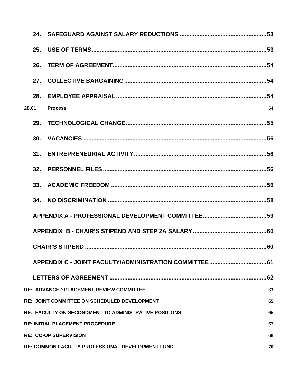|       | 26.                                                    |                                                       |     |  |
|-------|--------------------------------------------------------|-------------------------------------------------------|-----|--|
|       |                                                        |                                                       |     |  |
|       | 28.                                                    |                                                       |     |  |
| 28.01 |                                                        | <b>Process</b>                                        | 54  |  |
|       | 29.                                                    |                                                       |     |  |
|       |                                                        |                                                       |     |  |
|       | 31.                                                    |                                                       |     |  |
|       | 32.                                                    | PERSONNEL FILES ……………………………………………………………………………………………56 |     |  |
|       |                                                        |                                                       |     |  |
|       | 34.                                                    |                                                       |     |  |
|       |                                                        |                                                       |     |  |
|       |                                                        |                                                       |     |  |
|       |                                                        | CHAIR'S STIPFND                                       | 60  |  |
|       |                                                        |                                                       |     |  |
|       |                                                        |                                                       | .62 |  |
|       |                                                        | RE: ADVANCED PLACEMENT REVIEW COMMITTEE               | 63  |  |
|       |                                                        | <b>RE: JOINT COMMITTEE ON SCHEDULED DEVELOPMENT</b>   | 65  |  |
|       |                                                        | RE: FACULTY ON SECONDMENT TO ADMINISTRATIVE POSITIONS | 66  |  |
|       | <b>RE: INITIAL PLACEMENT PROCEDURE</b><br>67           |                                                       |     |  |
|       | <b>RE: CO-OP SUPERVISION</b><br>68                     |                                                       |     |  |
|       | RE: COMMON FACULTY PROFESSIONAL DEVELOPMENT FUND<br>70 |                                                       |     |  |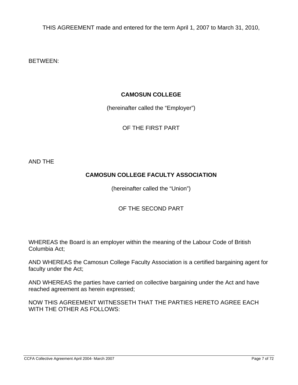THIS AGREEMENT made and entered for the term April 1, 2007 to March 31, 2010,

BETWEEN:

#### **CAMOSUN COLLEGE**

(hereinafter called the "Employer")

OF THE FIRST PART

AND THE

# **CAMOSUN COLLEGE FACULTY ASSOCIATION**

(hereinafter called the "Union")

### OF THE SECOND PART

WHEREAS the Board is an employer within the meaning of the Labour Code of British Columbia Act;

AND WHEREAS the Camosun College Faculty Association is a certified bargaining agent for faculty under the Act;

AND WHEREAS the parties have carried on collective bargaining under the Act and have reached agreement as herein expressed;

NOW THIS AGREEMENT WITNESSETH THAT THE PARTIES HERETO AGREE EACH WITH THE OTHER AS FOLLOWS: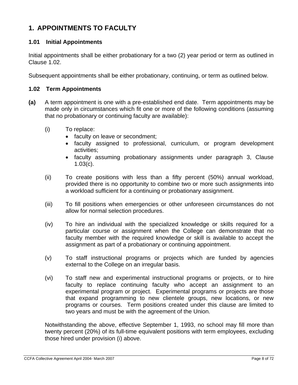# **1. APPOINTMENTS TO FACULTY**

#### **1.01 Initial Appointments**

Initial appointments shall be either probationary for a two (2) year period or term as outlined in Clause 1.02.

Subsequent appointments shall be either probationary, continuing, or term as outlined below.

#### **1.02 Term Appointments**

- **(a)** A term appointment is one with a pre-established end date. Term appointments may be made only in circumstances which fit one or more of the following conditions (assuming that no probationary or continuing faculty are available):
	- (i) To replace:
		- faculty on leave or secondment;
		- faculty assigned to professional, curriculum, or program development activities;
		- faculty assuming probationary assignments under paragraph 3, Clause 1.03(c).
	- (ii) To create positions with less than a fifty percent (50%) annual workload, provided there is no opportunity to combine two or more such assignments into a workload sufficient for a continuing or probationary assignment.
	- (iii) To fill positions when emergencies or other unforeseen circumstances do not allow for normal selection procedures.
	- (iv) To hire an individual with the specialized knowledge or skills required for a particular course or assignment when the College can demonstrate that no faculty member with the required knowledge or skill is available to accept the assignment as part of a probationary or continuing appointment.
	- (v) To staff instructional programs or projects which are funded by agencies external to the College on an irregular basis.
	- (vi) To staff new and experimental instructional programs or projects, or to hire faculty to replace continuing faculty who accept an assignment to an experimental program or project. Experimental programs or projects are those that expand programming to new clientele groups, new locations, or new programs or courses. Term positions created under this clause are limited to two years and must be with the agreement of the Union.

Notwithstanding the above, effective September 1, 1993, no school may fill more than twenty percent (20%) of its full-time equivalent positions with term employees, excluding those hired under provision (i) above.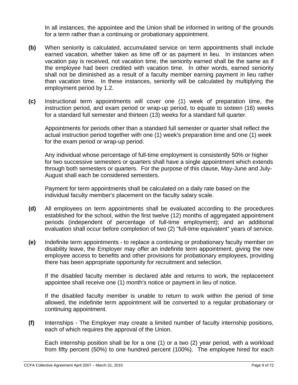In all instances, the appointee and the Union shall be informed in writing of the grounds for a term rather than a continuing or probationary appointment.

- **(b)** When seniority is calculated, accumulated service on term appointments shall include earned vacation, whether taken as time off or as payment in lieu. In instances when vacation pay is received, not vacation time, the seniority earned shall be the same as if the employee had been credited with vacation time. In other words, earned seniority shall not be diminished as a result of a faculty member earning payment in lieu rather than vacation time. In these instances, seniority will be calculated by multiplying the employment period by 1.2.
- **(c)** Instructional term appointments will cover one (1) week of preparation time, the instruction period, and exam period or wrap-up period, to equate to sixteen (16) weeks for a standard full semester and thirteen (13) weeks for a standard full quarter.

Appointments for periods other than a standard full semester or quarter shall reflect the actual instruction period together with one (1) week's preparation time and one (1) week for the exam period or wrap-up period.

Any individual whose percentage of full-time employment is consistently 50% or higher for two successive semesters or quarters shall have a single appointment which extends through both semesters or quarters. For the purpose of this clause, May-June and July-August shall each be considered semesters.

Payment for term appointments shall be calculated on a daily rate based on the individual faculty member's placement on the faculty salary scale.

- **(d)** All employees on term appointments shall be evaluated according to the procedures established for the school, within the first twelve (12) months of aggregated appointment periods (independent of percentage of full-time employment); and an additional evaluation shall occur before completion of two (2) "full-time equivalent" years of service.
- **(e)** Indefinite term appointments to replace a continuing or probationary faculty member on disability leave, the Employer may offer an indefinite term appointment, giving the new employee access to benefits and other provisions for probationary employees, providing there has been appropriate opportunity for recruitment and selection.

If the disabled faculty member is declared able and returns to work, the replacement appointee shall receive one (1) month's notice or payment in lieu of notice.

If the disabled faculty member is unable to return to work within the period of time allowed, the indefinite term appointment will be converted to a regular probationary or continuing appointment.

**(f)** Internships - The Employer may create a limited number of faculty internship positions, each of which requires the approval of the Union.

Each internship position shall be for a one (1) or a two (2) year period, with a workload from fifty percent (50%) to one hundred percent (100%). The employee hired for each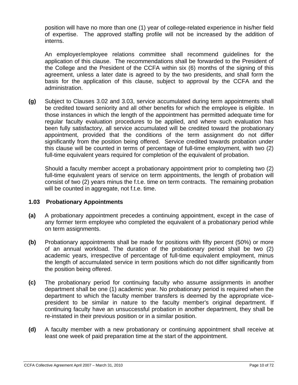position will have no more than one (1) year of college-related experience in his/her field of expertise. The approved staffing profile will not be increased by the addition of interns.

An employer/employee relations committee shall recommend guidelines for the application of this clause. The recommendations shall be forwarded to the President of the College and the President of the CCFA within six (6) months of the signing of this agreement, unless a later date is agreed to by the two presidents, and shall form the basis for the application of this clause, subject to approval by the CCFA and the administration.

**(g)** Subject to Clauses 3.02 and 3.03, service accumulated during term appointments shall be credited toward seniority and all other benefits for which the employee is eligible. In those instances in which the length of the appointment has permitted adequate time for regular faculty evaluation procedures to be applied, and where such evaluation has been fully satisfactory, all service accumulated will be credited toward the probationary appointment, provided that the conditions of the term assignment do not differ significantly from the position being offered. Service credited towards probation under this clause will be counted in terms of percentage of full-time employment, with two (2) full-time equivalent years required for completion of the equivalent of probation.

Should a faculty member accept a probationary appointment prior to completing two (2) full-time equivalent years of service on term appointments, the length of probation will consist of two (2) years minus the f.t.e. time on term contracts. The remaining probation will be counted in aggregate, not f.t.e. time.

#### **1.03 Probationary Appointments**

- **(a)** A probationary appointment precedes a continuing appointment, except in the case of any former term employee who completed the equivalent of a probationary period while on term assignments.
- **(b)** Probationary appointments shall be made for positions with fifty percent (50%) or more of an annual workload. The duration of the probationary period shall be two (2) academic years, irrespective of percentage of full-time equivalent employment, minus the length of accumulated service in term positions which do not differ significantly from the position being offered.
- **(c)** The probationary period for continuing faculty who assume assignments in another department shall be one (1) academic year. No probationary period is required when the department to which the faculty member transfers is deemed by the appropriate vicepresident to be similar in nature to the faculty member's original department. If continuing faculty have an unsuccessful probation in another department, they shall be re-instated in their previous position or in a similar position.
- **(d)** A faculty member with a new probationary or continuing appointment shall receive at least one week of paid preparation time at the start of the appointment.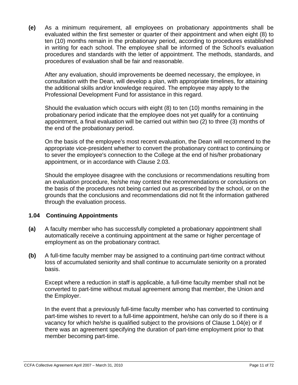**(e)** As a minimum requirement, all employees on probationary appointments shall be evaluated within the first semester or quarter of their appointment and when eight (8) to ten (10) months remain in the probationary period, according to procedures established in writing for each school. The employee shall be informed of the School's evaluation procedures and standards with the letter of appointment. The methods, standards, and procedures of evaluation shall be fair and reasonable.

After any evaluation, should improvements be deemed necessary, the employee, in consultation with the Dean, will develop a plan, with appropriate timelines, for attaining the additional skills and/or knowledge required. The employee may apply to the Professional Development Fund for assistance in this regard.

Should the evaluation which occurs with eight (8) to ten (10) months remaining in the probationary period indicate that the employee does not yet qualify for a continuing appointment, a final evaluation will be carried out within two (2) to three (3) months of the end of the probationary period.

On the basis of the employee's most recent evaluation, the Dean will recommend to the appropriate vice-president whether to convert the probationary contract to continuing or to sever the employee's connection to the College at the end of his/her probationary appointment, or in accordance with Clause 2.03.

Should the employee disagree with the conclusions or recommendations resulting from an evaluation procedure, he/she may contest the recommendations or conclusions on the basis of the procedures not being carried out as prescribed by the school, or on the grounds that the conclusions and recommendations did not fit the information gathered through the evaluation process.

#### **1.04 Continuing Appointments**

- **(a)** A faculty member who has successfully completed a probationary appointment shall automatically receive a continuing appointment at the same or higher percentage of employment as on the probationary contract.
- **(b)** A full-time faculty member may be assigned to a continuing part-time contract without loss of accumulated seniority and shall continue to accumulate seniority on a prorated basis.

Except where a reduction in staff is applicable, a full-time faculty member shall not be converted to part-time without mutual agreement among that member, the Union and the Employer.

In the event that a previously full-time faculty member who has converted to continuing part-time wishes to revert to a full-time appointment, he/she can only do so if there is a vacancy for which he/she is qualified subject to the provisions of Clause 1.04(e) or if there was an agreement specifying the duration of part-time employment prior to that member becoming part-time.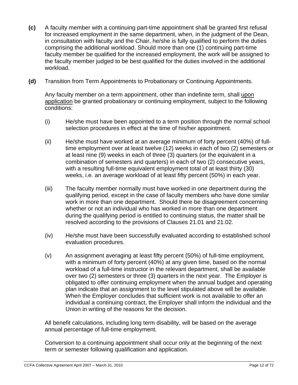- **(c)** A faculty member with a continuing part-time appointment shall be granted first refusal for increased employment in the same department, when, in the judgment of the Dean, in consultation with faculty and the Chair, he/she is fully qualified to perform the duties comprising the additional workload. Should more than one (1) continuing part-time faculty member be qualified for the increased employment, the work will be assigned to the faculty member judged to be best qualified for the duties involved in the additional workload.
- **(d)** Transition from Term Appointments to Probationary or Continuing Appointments.

Any faculty member on a term appointment, other than indefinite term, shall upon application be granted probationary or continuing employment, subject to the following conditions:

- (i) He/she must have been appointed to a term position through the normal school selection procedures in effect at the time of his/her appointment.
- (ii) He/she must have worked at an average minimum of forty percent (40%) of fulltime employment over at least twelve (12) weeks in each of two (2) semesters or at least nine (9) weeks in each of three (3) quarters (or the equivalent in a combination of semesters and quarters) in each of two (2) consecutive years, with a resulting full-time equivalent employment total of at least thirty (30) weeks, i.e. an average workload of at least fifty percent (50%) in each year.
- (iii) The faculty member normally must have worked in one department during the qualifying period, except in the case of faculty members who have done similar work in more than one department. Should there be disagreement concerning whether or not an individual who has worked in more than one department during the qualifying period is entitled to continuing status, the matter shall be resolved according to the provisions of Clauses 21.01 and 21.02.
- (iv) He/she must have been successfully evaluated according to established school evaluation procedures.
- (v) An assignment averaging at least fifty percent (50%) of full-time employment, with a minimum of forty percent (40%) at any given time, based on the normal workload of a full-time instructor in the relevant department, shall be available over two (2) semesters or three (3) quarters in the next year. The Employer is obligated to offer continuing employment when the annual budget and operating plan indicate that an assignment to the level stipulated above will be available. When the Employer concludes that sufficient work is not available to offer an individual a continuing contract, the Employer shall inform the individual and the Union in writing of the reasons for the decision.

All benefit calculations, including long term disability, will be based on the average annual percentage of full-time employment.

Conversion to a continuing appointment shall occur only at the beginning of the next term or semester following qualification and application.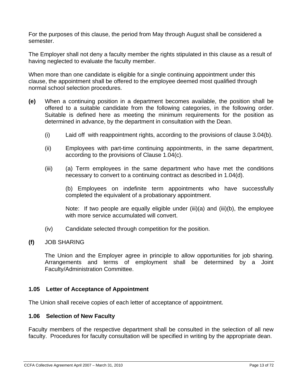For the purposes of this clause, the period from May through August shall be considered a semester.

The Employer shall not deny a faculty member the rights stipulated in this clause as a result of having neglected to evaluate the faculty member.

When more than one candidate is eligible for a single continuing appointment under this clause, the appointment shall be offered to the employee deemed most qualified through normal school selection procedures.

- **(e)** When a continuing position in a department becomes available, the position shall be offered to a suitable candidate from the following categories, in the following order. Suitable is defined here as meeting the minimum requirements for the position as determined in advance, by the department in consultation with the Dean.
	- (i) Laid off with reappointment rights, according to the provisions of clause 3.04(b).
	- (ii) Employees with part-time continuing appointments, in the same department, according to the provisions of Clause 1.04(c).
	- (iii) (a) Term employees in the same department who have met the conditions necessary to convert to a continuing contract as described in 1.04(d).

(b) Employees on indefinite term appointments who have successfully completed the equivalent of a probationary appointment.

Note: If two people are equally eligible under (iii)(a) and (iii)(b), the employee with more service accumulated will convert.

- (iv) Candidate selected through competition for the position.
- **(f)** JOB SHARING

The Union and the Employer agree in principle to allow opportunities for job sharing. Arrangements and terms of employment shall be determined by a Joint Faculty/Administration Committee.

#### **1.05 Letter of Acceptance of Appointment**

The Union shall receive copies of each letter of acceptance of appointment.

#### **1.06 Selection of New Faculty**

Faculty members of the respective department shall be consulted in the selection of all new faculty. Procedures for faculty consultation will be specified in writing by the appropriate dean.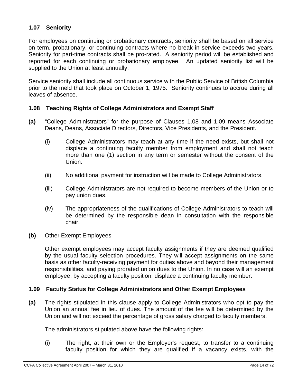#### **1.07 Seniority**

For employees on continuing or probationary contracts, seniority shall be based on all service on term, probationary, or continuing contracts where no break in service exceeds two years. Seniority for part-time contracts shall be pro-rated. A seniority period will be established and reported for each continuing or probationary employee. An updated seniority list will be supplied to the Union at least annually.

Service seniority shall include all continuous service with the Public Service of British Columbia prior to the meld that took place on October 1, 1975. Seniority continues to accrue during all leaves of absence.

#### **1.08 Teaching Rights of College Administrators and Exempt Staff**

- **(a)** "College Administrators" for the purpose of Clauses 1.08 and 1.09 means Associate Deans, Deans, Associate Directors, Directors, Vice Presidents, and the President.
	- (i) College Administrators may teach at any time if the need exists, but shall not displace a continuing faculty member from employment and shall not teach more than one (1) section in any term or semester without the consent of the Union.
	- (ii) No additional payment for instruction will be made to College Administrators.
	- (iii) College Administrators are not required to become members of the Union or to pay union dues.
	- (iv) The appropriateness of the qualifications of College Administrators to teach will be determined by the responsible dean in consultation with the responsible chair.
- **(b)** Other Exempt Employees

Other exempt employees may accept faculty assignments if they are deemed qualified by the usual faculty selection procedures. They will accept assignments on the same basis as other faculty-receiving payment for duties above and beyond their management responsibilities, and paying prorated union dues to the Union. In no case will an exempt employee, by accepting a faculty position, displace a continuing faculty member.

#### **1.09 Faculty Status for College Administrators and Other Exempt Employees**

**(a)** The rights stipulated in this clause apply to College Administrators who opt to pay the Union an annual fee in lieu of dues. The amount of the fee will be determined by the Union and will not exceed the percentage of gross salary charged to faculty members.

The administrators stipulated above have the following rights:

(i) The right, at their own or the Employer's request, to transfer to a continuing faculty position for which they are qualified if a vacancy exists, with the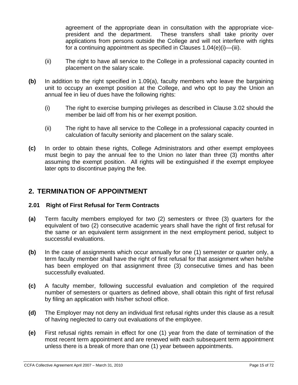agreement of the appropriate dean in consultation with the appropriate vicepresident and the department. These transfers shall take priority over applications from persons outside the College and will not interfere with rights for a continuing appointment as specified in Clauses 1.04(e)(i)—(iii).

- (ii) The right to have all service to the College in a professional capacity counted in placement on the salary scale.
- **(b)** In addition to the right specified in 1.09(a), faculty members who leave the bargaining unit to occupy an exempt position at the College, and who opt to pay the Union an annual fee in lieu of dues have the following rights:
	- (i) The right to exercise bumping privileges as described in Clause 3.02 should the member be laid off from his or her exempt position.
	- (ii) The right to have all service to the College in a professional capacity counted in calculation of faculty seniority and placement on the salary scale.
- **(c)** In order to obtain these rights, College Administrators and other exempt employees must begin to pay the annual fee to the Union no later than three (3) months after assuming the exempt position. All rights will be extinguished if the exempt employee later opts to discontinue paying the fee.

### **2. TERMINATION OF APPOINTMENT**

#### **2.01 Right of First Refusal for Term Contracts**

- **(a)** Term faculty members employed for two (2) semesters or three (3) quarters for the equivalent of two (2) consecutive academic years shall have the right of first refusal for the same or an equivalent term assignment in the next employment period, subject to successful evaluations.
- **(b)** In the case of assignments which occur annually for one (1) semester or quarter only, a term faculty member shall have the right of first refusal for that assignment when he/she has been employed on that assignment three (3) consecutive times and has been successfully evaluated.
- **(c)** A faculty member, following successful evaluation and completion of the required number of semesters or quarters as defined above, shall obtain this right of first refusal by filing an application with his/her school office.
- **(d)** The Employer may not deny an individual first refusal rights under this clause as a result of having neglected to carry out evaluations of the employee.
- **(e)** First refusal rights remain in effect for one (1) year from the date of termination of the most recent term appointment and are renewed with each subsequent term appointment unless there is a break of more than one (1) year between appointments.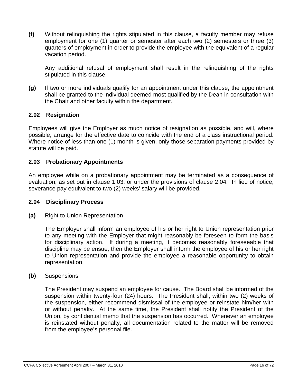**(f)** Without relinquishing the rights stipulated in this clause, a faculty member may refuse employment for one (1) quarter or semester after each two (2) semesters or three (3) quarters of employment in order to provide the employee with the equivalent of a regular vacation period.

Any additional refusal of employment shall result in the relinquishing of the rights stipulated in this clause.

**(g)** If two or more individuals qualify for an appointment under this clause, the appointment shall be granted to the individual deemed most qualified by the Dean in consultation with the Chair and other faculty within the department.

#### **2.02 Resignation**

Employees will give the Employer as much notice of resignation as possible, and will, where possible, arrange for the effective date to coincide with the end of a class instructional period. Where notice of less than one (1) month is given, only those separation payments provided by statute will be paid.

#### **2.03 Probationary Appointments**

An employee while on a probationary appointment may be terminated as a consequence of evaluation, as set out in clause 1.03, or under the provisions of clause 2.04. In lieu of notice, severance pay equivalent to two (2) weeks' salary will be provided.

#### **2.04 Disciplinary Process**

**(a)** Right to Union Representation

The Employer shall inform an employee of his or her right to Union representation prior to any meeting with the Employer that might reasonably be foreseen to form the basis for disciplinary action. If during a meeting, it becomes reasonably foreseeable that discipline may be ensue, then the Employer shall inform the employee of his or her right to Union representation and provide the employee a reasonable opportunity to obtain representation.

#### **(b)** Suspensions

The President may suspend an employee for cause. The Board shall be informed of the suspension within twenty-four (24) hours. The President shall, within two (2) weeks of the suspension, either recommend dismissal of the employee or reinstate him/her with or without penalty. At the same time, the President shall notify the President of the Union, by confidential memo that the suspension has occurred. Whenever an employee is reinstated without penalty, all documentation related to the matter will be removed from the employee's personal file.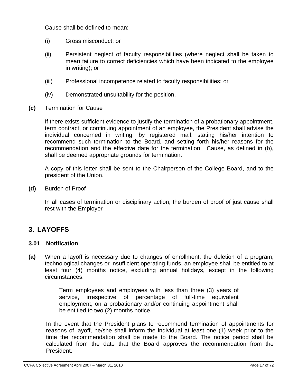Cause shall be defined to mean:

- (i) Gross misconduct; or
- (ii) Persistent neglect of faculty responsibilities (where neglect shall be taken to mean failure to correct deficiencies which have been indicated to the employee in writing); or
- (iii) Professional incompetence related to faculty responsibilities; or
- (iv) Demonstrated unsuitability for the position.
- **(c)** Termination for Cause

If there exists sufficient evidence to justify the termination of a probationary appointment, term contract, or continuing appointment of an employee, the President shall advise the individual concerned in writing, by registered mail, stating his/her intention to recommend such termination to the Board, and setting forth his/her reasons for the recommendation and the effective date for the termination. Cause, as defined in (b), shall be deemed appropriate grounds for termination.

A copy of this letter shall be sent to the Chairperson of the College Board, and to the president of the Union.

**(d)** Burden of Proof

In all cases of termination or disciplinary action, the burden of proof of just cause shall rest with the Employer

# **3. LAYOFFS**

#### **3.01 Notification**

**(a)** When a layoff is necessary due to changes of enrollment, the deletion of a program, technological changes or insufficient operating funds, an employee shall be entitled to at least four (4) months notice, excluding annual holidays, except in the following circumstances:

> Term employees and employees with less than three (3) years of service, irrespective of percentage of full-time equivalent employment, on a probationary and/or continuing appointment shall be entitled to two (2) months notice.

In the event that the President plans to recommend termination of appointments for reasons of layoff, he/she shall inform the individual at least one (1) week prior to the time the recommendation shall be made to the Board. The notice period shall be calculated from the date that the Board approves the recommendation from the President.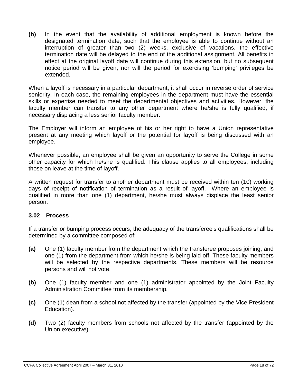**(b)** In the event that the availability of additional employment is known before the designated termination date, such that the employee is able to continue without an interruption of greater than two (2) weeks, exclusive of vacations, the effective termination date will be delayed to the end of the additional assignment. All benefits in effect at the original layoff date will continue during this extension, but no subsequent notice period will be given, nor will the period for exercising 'bumping' privileges be extended.

When a layoff is necessary in a particular department, it shall occur in reverse order of service seniority. In each case, the remaining employees in the department must have the essential skills or expertise needed to meet the departmental objectives and activities. However, the faculty member can transfer to any other department where he/she is fully qualified, if necessary displacing a less senior faculty member.

The Employer will inform an employee of his or her right to have a Union representative present at any meeting which layoff or the potential for layoff is being discussed with an employee.

Whenever possible, an employee shall be given an opportunity to serve the College in some other capacity for which he/she is qualified. This clause applies to all employees, including those on leave at the time of layoff.

A written request for transfer to another department must be received within ten (10) working days of receipt of notification of termination as a result of layoff. Where an employee is qualified in more than one (1) department, he/she must always displace the least senior person.

#### **3.02 Process**

If a transfer or bumping process occurs, the adequacy of the transferee's qualifications shall be determined by a committee composed of:

- **(a)** One (1) faculty member from the department which the transferee proposes joining, and one (1) from the department from which he/she is being laid off. These faculty members will be selected by the respective departments. These members will be resource persons and will not vote.
- **(b)** One (1) faculty member and one (1) administrator appointed by the Joint Faculty Administration Committee from its membership.
- **(c)** One (1) dean from a school not affected by the transfer (appointed by the Vice President Education).
- **(d)** Two (2) faculty members from schools not affected by the transfer (appointed by the Union executive).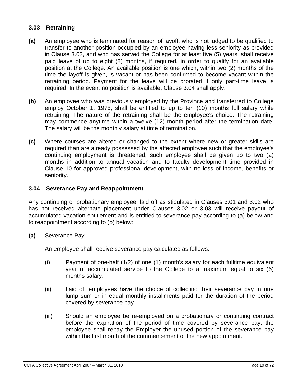#### **3.03 Retraining**

- **(a)** An employee who is terminated for reason of layoff, who is not judged to be qualified to transfer to another position occupied by an employee having less seniority as provided in Clause 3.02, and who has served the College for at least five (5) years, shall receive paid leave of up to eight (8) months, if required, in order to qualify for an available position at the College. An available position is one which, within two (2) months of the time the layoff is given, is vacant or has been confirmed to become vacant within the retraining period. Payment for the leave will be prorated if only part-time leave is required. In the event no position is available, Clause 3.04 shall apply.
- **(b)** An employee who was previously employed by the Province and transferred to College employ October 1, 1975, shall be entitled to up to ten (10) months full salary while retraining. The nature of the retraining shall be the employee's choice. The retraining may commence anytime within a twelve (12) month period after the termination date. The salary will be the monthly salary at time of termination.
- **(c)** Where courses are altered or changed to the extent where new or greater skills are required than are already possessed by the affected employee such that the employee's continuing employment is threatened, such employee shall be given up to two (2) months in addition to annual vacation and to faculty development time provided in Clause 10 for approved professional development, with no loss of income, benefits or seniority.

#### **3.04 Severance Pay and Reappointment**

Any continuing or probationary employee, laid off as stipulated in Clauses 3.01 and 3.02 who has not received alternate placement under Clauses 3.02 or 3.03 will receive payout of accumulated vacation entitlement and is entitled to severance pay according to (a) below and to reappointment according to (b) below:

**(a)** Severance Pay

An employee shall receive severance pay calculated as follows:

- (i) Payment of one-half (1/2) of one (1) month's salary for each fulltime equivalent year of accumulated service to the College to a maximum equal to six (6) months salary.
- (ii) Laid off employees have the choice of collecting their severance pay in one lump sum or in equal monthly installments paid for the duration of the period covered by severance pay.
- (iii) Should an employee be re-employed on a probationary or continuing contract before the expiration of the period of time covered by severance pay, the employee shall repay the Employer the unused portion of the severance pay within the first month of the commencement of the new appointment.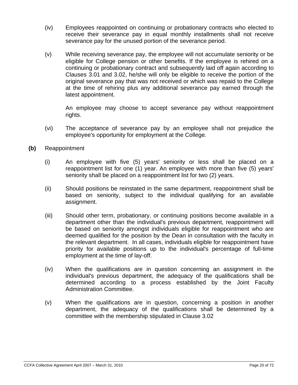- (iv) Employees reappointed on continuing or probationary contracts who elected to receive their severance pay in equal monthly installments shall not receive severance pay for the unused portion of the severance period.
- (v) While receiving severance pay, the employee will not accumulate seniority or be eligible for College pension or other benefits. If the employee is rehired on a continuing or probationary contract and subsequently laid off again according to Clauses 3.01 and 3.02, he/she will only be eligible to receive the portion of the original severance pay that was not received or which was repaid to the College at the time of rehiring plus any additional severance pay earned through the latest appointment.

An employee may choose to accept severance pay without reappointment rights.

- (vi) The acceptance of severance pay by an employee shall not prejudice the employee's opportunity for employment at the College.
- **(b)** Reappointment
	- (i) An employee with five (5) years' seniority or less shall be placed on a reappointment list for one (1) year. An employee with more than five (5) years' seniority shall be placed on a reappointment list for two (2) years.
	- (ii) Should positions be reinstated in the same department, reappointment shall be based on seniority, subject to the individual qualifying for an available assignment.
	- (iii) Should other term, probationary, or continuing positions become available in a department other than the individual's previous department, reappointment will be based on seniority amongst individuals eligible for reappointment who are deemed qualified for the position by the Dean in consultation with the faculty in the relevant department.In all cases, individuals eligible for reappointment have priority for available positions up to the individual's percentage of full-time employment at the time of lay-off.
	- (iv) When the qualifications are in question concerning an assignment in the individual's previous department, the adequacy of the qualifications shall be determined according to a process established by the Joint Faculty Administration Committee.
	- (v) When the qualifications are in question, concerning a position in another department, the adequacy of the qualifications shall be determined by a committee with the membership stipulated in Clause 3.02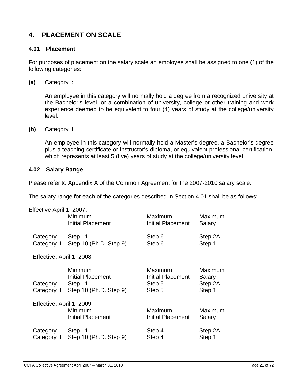# **4. PLACEMENT ON SCALE**

#### **4.01 Placement**

For purposes of placement on the salary scale an employee shall be assigned to one (1) of the following categories:

**(a)** Category I:

An employee in this category will normally hold a degree from a recognized university at the Bachelor's level, or a combination of university, college or other training and work experience deemed to be equivalent to four (4) years of study at the college/university level.

**(b)** Category II:

An employee in this category will normally hold a Master's degree, a Bachelor's degree plus a teaching certificate or instructor's diploma, or equivalent professional certification, which represents at least 5 (five) years of study at the college/university level.

#### **4.02 Salary Range**

Please refer to Appendix A of the Common Agreement for the 2007-2010 salary scale.

The salary range for each of the categories described in Section 4.01 shall be as follows:

| Effective April 1, 2007:  |                          |                          |               |  |
|---------------------------|--------------------------|--------------------------|---------------|--|
|                           | Minimum                  | Maximum-                 | Maximum       |  |
|                           | <b>Initial Placement</b> | <b>Initial Placement</b> | Salary        |  |
| Category I                | Step 11                  | Step 6                   | Step 2A       |  |
| Category II               | Step 10 (Ph.D. Step 9)   | Step 6                   | Step 1        |  |
| Effective, April 1, 2008: |                          |                          |               |  |
|                           | Minimum                  | Maximum-                 | Maximum       |  |
|                           | Initial Placement        | <b>Initial Placement</b> | <u>Salary</u> |  |
| Category I                | Step 11                  | Step 5                   | Step 2A       |  |
| Category II               | Step 10 (Ph.D. Step 9)   | Step 5                   | Step 1        |  |
| Effective, April 1, 2009: |                          |                          |               |  |
|                           | Minimum                  | Maximum-                 | Maximum       |  |
|                           | <b>Initial Placement</b> | <b>Initial Placement</b> | <u>Salary</u> |  |
| Category I                | Step 11                  | Step 4                   | Step 2A       |  |
| Category II               | Step 10 (Ph.D. Step 9)   | Step 4                   | Step 1        |  |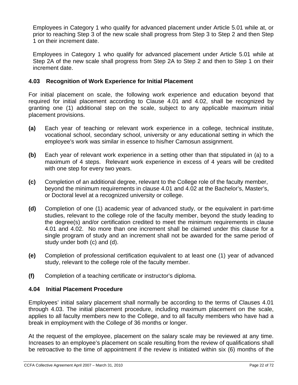Employees in Category 1 who qualify for advanced placement under Article 5.01 while at, or prior to reaching Step 3 of the new scale shall progress from Step 3 to Step 2 and then Step 1 on their increment date.

Employees in Category 1 who qualify for advanced placement under Article 5.01 while at Step 2A of the new scale shall progress from Step 2A to Step 2 and then to Step 1 on their increment date.

#### **4.03 Recognition of Work Experience for Initial Placement**

For initial placement on scale, the following work experience and education beyond that required for initial placement according to Clause 4.01 and 4.02, shall be recognized by granting one (1) additional step on the scale, subject to any applicable maximum initial placement provisions.

- **(a)** Each year of teaching or relevant work experience in a college, technical institute, vocational school, secondary school, university or any educational setting in which the employee's work was similar in essence to his/her Camosun assignment.
- **(b)** Each year of relevant work experience in a setting other than that stipulated in (a) to a maximum of 4 steps. Relevant work experience in excess of 4 years will be credited with one step for every two years.
- **(c)** Completion of an additional degree, relevant to the College role of the faculty member, beyond the minimum requirements in clause 4.01 and 4.02 at the Bachelor's, Master's, or Doctoral level at a recognized university or college.
- **(d)** Completion of one (1) academic year of advanced study, or the equivalent in part-time studies, relevant to the college role of the faculty member, beyond the study leading to the degree(s) and/or certification credited to meet the minimum requirements in clause 4.01 and 4.02. No more than one increment shall be claimed under this clause for a single program of study and an increment shall not be awarded for the same period of study under both (c) and (d).
- **(e)** Completion of professional certification equivalent to at least one (1) year of advanced study, relevant to the college role of the faculty member.
- **(f)** Completion of a teaching certificate or instructor's diploma.

#### **4.04 Initial Placement Procedure**

Employees' initial salary placement shall normally be according to the terms of Clauses 4.01 through 4.03. The initial placement procedure, including maximum placement on the scale, applies to all faculty members new to the College, and to all faculty members who have had a break in employment with the College of 36 months or longer.

At the request of the employee, placement on the salary scale may be reviewed at any time. Increases to an employee's placement on scale resulting from the review of qualifications shall be retroactive to the time of appointment if the review is initiated within six (6) months of the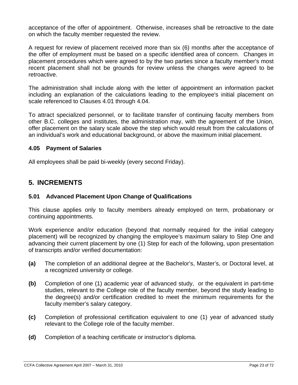acceptance of the offer of appointment. Otherwise, increases shall be retroactive to the date on which the faculty member requested the review.

A request for review of placement received more than six (6) months after the acceptance of the offer of employment must be based on a specific identified area of concern. Changes in placement procedures which were agreed to by the two parties since a faculty member's most recent placement shall not be grounds for review unless the changes were agreed to be retroactive.

The administration shall include along with the letter of appointment an information packet including an explanation of the calculations leading to the employee's initial placement on scale referenced to Clauses 4.01 through 4.04.

To attract specialized personnel, or to facilitate transfer of continuing faculty members from other B.C. colleges and institutes, the administration may, with the agreement of the Union, offer placement on the salary scale above the step which would result from the calculations of an individual's work and educational background, or above the maximum initial placement.

#### **4.05 Payment of Salaries**

All employees shall be paid bi-weekly (every second Friday).

# **5. INCREMENTS**

#### **5.01 Advanced Placement Upon Change of Qualifications**

This clause applies only to faculty members already employed on term, probationary or continuing appointments.

Work experience and/or education (beyond that normally required for the initial category placement) will be recognized by changing the employee's maximum salary to Step One and advancing their current placement by one (1) Step for each of the following, upon presentation of transcripts and/or verified documentation:

- **(a)** The completion of an additional degree at the Bachelor's, Master's, or Doctoral level, at a recognized university or college.
- **(b)** Completion of one (1) academic year of advanced study, or the equivalent in part-time studies, relevant to the College role of the faculty member, beyond the study leading to the degree(s) and/or certification credited to meet the minimum requirements for the faculty member's salary category.
- **(c)** Completion of professional certification equivalent to one (1) year of advanced study relevant to the College role of the faculty member.
- **(d)** Completion of a teaching certificate or instructor's diploma.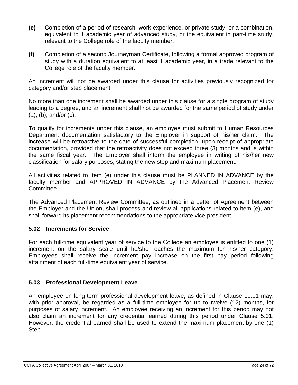- **(e)** Completion of a period of research, work experience, or private study, or a combination, equivalent to 1 academic year of advanced study, or the equivalent in part-time study, relevant to the College role of the faculty member.
- **(f)** Completion of a second Journeyman Certificate, following a formal approved program of study with a duration equivalent to at least 1 academic year, in a trade relevant to the College role of the faculty member.

An increment will not be awarded under this clause for activities previously recognized for category and/or step placement.

No more than one increment shall be awarded under this clause for a single program of study leading to a degree, and an increment shall not be awarded for the same period of study under (a), (b), and/or (c).

To qualify for increments under this clause, an employee must submit to Human Resources Department documentation satisfactory to the Employer in support of his/her claim. The increase will be retroactive to the date of successful completion, upon receipt of appropriate documentation, provided that the retroactivity does not exceed three (3) months and is within the same fiscal year. The Employer shall inform the employee in writing of his/her new classification for salary purposes, stating the new step and maximum placement.

All activities related to item (e) under this clause must be PLANNED IN ADVANCE by the faculty member and APPROVED IN ADVANCE by the Advanced Placement Review Committee.

The Advanced Placement Review Committee, as outlined in a Letter of Agreement between the Employer and the Union, shall process and review all applications related to item (e), and shall forward its placement recommendations to the appropriate vice-president.

#### **5.02 Increments for Service**

For each full-time equivalent year of service to the College an employee is entitled to one (1) increment on the salary scale until he/she reaches the maximum for his/her category. Employees shall receive the increment pay increase on the first pay period following attainment of each full-time equivalent year of service.

#### **5.03 Professional Development Leave**

An employee on long-term professional development leave, as defined in Clause 10.01 may, with prior approval, be regarded as a full-time employee for up to twelve (12) months, for purposes of salary increment. An employee receiving an increment for this period may not also claim an increment for any credential earned during this period under Clause 5.01. However, the credential earned shall be used to extend the maximum placement by one (1) Step.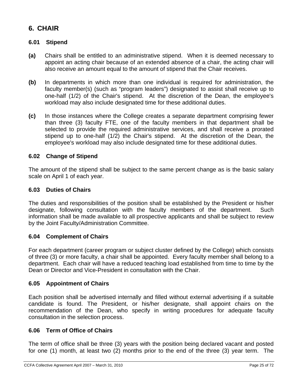# **6. CHAIR**

#### **6.01 Stipend**

- **(a)** Chairs shall be entitled to an administrative stipend. When it is deemed necessary to appoint an acting chair because of an extended absence of a chair, the acting chair will also receive an amount equal to the amount of stipend that the Chair receives.
- **(b)** In departments in which more than one individual is required for administration, the faculty member(s) (such as "program leaders") designated to assist shall receive up to one-half (1/2) of the Chair's stipend. At the discretion of the Dean, the employee's workload may also include designated time for these additional duties.
- **(c)** In those instances where the College creates a separate department comprising fewer than three (3) faculty FTE, one of the faculty members in that department shall be selected to provide the required administrative services, and shall receive a prorated stipend up to one-half (1/2) the Chair's stipend. At the discretion of the Dean, the employee's workload may also include designated time for these additional duties.

#### **6.02 Change of Stipend**

The amount of the stipend shall be subject to the same percent change as is the basic salary scale on April 1 of each year.

#### **6.03 Duties of Chairs**

The duties and responsibilities of the position shall be established by the President or his/her designate, following consultation with the faculty members of the department. Such information shall be made available to all prospective applicants and shall be subject to review by the Joint Faculty/Administration Committee.

#### **6.04 Complement of Chairs**

For each department (career program or subject cluster defined by the College) which consists of three (3) or more faculty, a chair shall be appointed. Every faculty member shall belong to a department. Each chair will have a reduced teaching load established from time to time by the Dean or Director and Vice-President in consultation with the Chair.

#### **6.05 Appointment of Chairs**

Each position shall be advertised internally and filled without external advertising if a suitable candidate is found. The President, or his/her designate, shall appoint chairs on the recommendation of the Dean, who specify in writing procedures for adequate faculty consultation in the selection process.

#### **6.06 Term of Office of Chairs**

The term of office shall be three (3) years with the position being declared vacant and posted for one (1) month, at least two (2) months prior to the end of the three (3) year term. The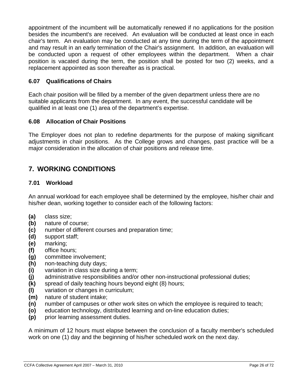appointment of the incumbent will be automatically renewed if no applications for the position besides the incumbent's are received. An evaluation will be conducted at least once in each chair's term. An evaluation may be conducted at any time during the term of the appointment and may result in an early termination of the Chair's assignment. In addition, an evaluation will be conducted upon a request of other employees within the department. When a chair position is vacated during the term, the position shall be posted for two (2) weeks, and a replacement appointed as soon thereafter as is practical.

#### **6.07 Qualifications of Chairs**

Each chair position will be filled by a member of the given department unless there are no suitable applicants from the department. In any event, the successful candidate will be qualified in at least one (1) area of the department's expertise.

#### **6.08 Allocation of Chair Positions**

The Employer does not plan to redefine departments for the purpose of making significant adjustments in chair positions. As the College grows and changes, past practice will be a major consideration in the allocation of chair positions and release time.

# **7. WORKING CONDITIONS**

#### **7.01 Workload**

An annual workload for each employee shall be determined by the employee, his/her chair and his/her dean, working together to consider each of the following factors:

- **(a)** class size;
- **(b)** nature of course;
- **(c)** number of different courses and preparation time;
- **(d)** support staff;
- **(e)** marking;
- **(f)** office hours;
- **(g)** committee involvement;
- **(h)** non-teaching duty days;
- **(i)** variation in class size during a term;
- **(j)** administrative responsibilities and/or other non-instructional professional duties;
- **(k)** spread of daily teaching hours beyond eight (8) hours;
- **(l)** variation or changes in curriculum;
- **(m)** nature of student intake;
- **(n)** number of campuses or other work sites on which the employee is required to teach;
- **(o)** education technology, distributed learning and on-line education duties;
- **(p)** prior learning assessment duties.

A minimum of 12 hours must elapse between the conclusion of a faculty member's scheduled work on one (1) day and the beginning of his/her scheduled work on the next day.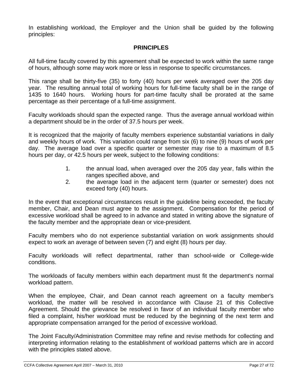In establishing workload, the Employer and the Union shall be guided by the following principles:

#### **PRINCIPLES**

All full-time faculty covered by this agreement shall be expected to work within the same range of hours, although some may work more or less in response to specific circumstances.

This range shall be thirty-five (35) to forty (40) hours per week averaged over the 205 day year. The resulting annual total of working hours for full-time faculty shall be in the range of 1435 to 1640 hours. Working hours for part-time faculty shall be prorated at the same percentage as their percentage of a full-time assignment.

Faculty workloads should span the expected range. Thus the average annual workload within a department should be in the order of 37.5 hours per week.

It is recognized that the majority of faculty members experience substantial variations in daily and weekly hours of work. This variation could range from six (6) to nine (9) hours of work per day. The average load over a specific quarter or semester may rise to a maximum of 8.5 hours per day, or 42.5 hours per week, subject to the following conditions:

- 1. the annual load, when averaged over the 205 day year, falls within the ranges specified above, and
- 2. the average load in the adjacent term (quarter or semester) does not exceed forty (40) hours.

In the event that exceptional circumstances result in the guideline being exceeded, the faculty member, Chair, and Dean must agree to the assignment. Compensation for the period of excessive workload shall be agreed to in advance and stated in writing above the signature of the faculty member and the appropriate dean or vice-president.

Faculty members who do not experience substantial variation on work assignments should expect to work an average of between seven (7) and eight (8) hours per day.

Faculty workloads will reflect departmental, rather than school-wide or College-wide conditions.

The workloads of faculty members within each department must fit the department's normal workload pattern.

When the employee, Chair, and Dean cannot reach agreement on a faculty member's workload, the matter will be resolved in accordance with Clause 21 of this Collective Agreement. Should the grievance be resolved in favor of an individual faculty member who filed a complaint, his/her workload must be reduced by the beginning of the next term and appropriate compensation arranged for the period of excessive workload.

The Joint Faculty/Administration Committee may refine and revise methods for collecting and interpreting information relating to the establishment of workload patterns which are in accord with the principles stated above.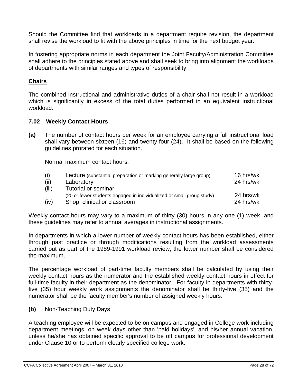Should the Committee find that workloads in a department require revision, the department shall revise the workload to fit with the above principles in time for the next budget year.

In fostering appropriate norms in each department the Joint Faculty/Administration Committee shall adhere to the principles stated above and shall seek to bring into alignment the workloads of departments with similar ranges and types of responsibility.

#### **Chairs**

The combined instructional and administrative duties of a chair shall not result in a workload which is significantly in excess of the total duties performed in an equivalent instructional workload.

#### **7.02 Weekly Contact Hours**

**(a)** The number of contact hours per week for an employee carrying a full instructional load shall vary between sixteen (16) and twenty-four (24). It shall be based on the following guidelines prorated for each situation.

Normal maximum contact hours:

| (i)   | Lecture (substantial preparation or marking generally large group)    | 16 hrs/wk |
|-------|-----------------------------------------------------------------------|-----------|
| (ii)  | Laboratory                                                            | 24 hrs/wk |
| (iii) | <b>Tutorial or seminar</b>                                            |           |
|       | (20 or fewer students engaged in individualized or small group study) | 24 hrs/wk |
| (iv)  | Shop, clinical or classroom                                           | 24 hrs/wk |

Weekly contact hours may vary to a maximum of thirty (30) hours in any one (1) week, and these guidelines may refer to annual averages in instructional assignments.

In departments in which a lower number of weekly contact hours has been established, either through past practice or through modifications resulting from the workload assessments carried out as part of the 1989-1991 workload review, the lower number shall be considered the maximum.

The percentage workload of part-time faculty members shall be calculated by using their weekly contact hours as the numerator and the established weekly contact hours in effect for full-time faculty in their department as the denominator. For faculty in departments with thirtyfive (35) hour weekly work assignments the denominator shall be thirty-five (35) and the numerator shall be the faculty member's number of assigned weekly hours.

**(b)** Non-Teaching Duty Days

A teaching employee will be expected to be on campus and engaged in College work including department meetings, on week days other than 'paid holidays', and his/her annual vacation, unless he/she has obtained specific approval to be off campus for professional development under Clause 10 or to perform clearly specified college work.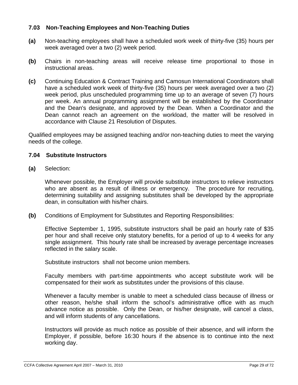#### **7.03 Non-Teaching Employees and Non-Teaching Duties**

- **(a)** Non-teaching employees shall have a scheduled work week of thirty-five (35) hours per week averaged over a two (2) week period.
- **(b)** Chairs in non-teaching areas will receive release time proportional to those in instructional areas.
- **(c)** Continuing Education & Contract Training and Camosun International Coordinators shall have a scheduled work week of thirty-five (35) hours per week averaged over a two (2) week period, plus unscheduled programming time up to an average of seven (7) hours per week. An annual programming assignment will be established by the Coordinator and the Dean's designate, and approved by the Dean. When a Coordinator and the Dean cannot reach an agreement on the workload, the matter will be resolved in accordance with Clause 21 Resolution of Disputes.

Qualified employees may be assigned teaching and/or non-teaching duties to meet the varying needs of the college.

#### **7.04 Substitute Instructors**

**(a)** Selection:

Whenever possible, the Employer will provide substitute instructors to relieve instructors who are absent as a result of illness or emergency. The procedure for recruiting, determining suitability and assigning substitutes shall be developed by the appropriate dean, in consultation with his/her chairs.

**(b)** Conditions of Employment for Substitutes and Reporting Responsibilities:

Effective September 1, 1995, substitute instructors shall be paid an hourly rate of \$35 per hour and shall receive only statutory benefits, for a period of up to 4 weeks for any single assignment. This hourly rate shall be increased by average percentage increases reflected in the salary scale.

Substitute instructors shall not become union members.

Faculty members with part-time appointments who accept substitute work will be compensated for their work as substitutes under the provisions of this clause.

Whenever a faculty member is unable to meet a scheduled class because of illness or other reason, he/she shall inform the school's administrative office with as much advance notice as possible. Only the Dean, or his/her designate, will cancel a class, and will inform students of any cancellations.

Instructors will provide as much notice as possible of their absence, and will inform the Employer, if possible, before 16:30 hours if the absence is to continue into the next working day.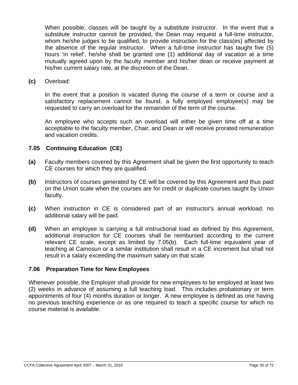When possible, classes will be taught by a substitute instructor. In the event that a substitute instructor cannot be provided, the Dean may request a full-time instructor, whom he/she judges to be qualified, to provide instruction for the class(es) affected by the absence of the regular instructor. When a full-time instructor has taught five (5) hours 'in relief', he/she shall be granted one (1) additional day of vacation at a time mutually agreed upon by the faculty member and his/her dean or receive payment at his/her current salary rate, at the discretion of the Dean.

**(c)** Overload:

In the event that a position is vacated during the course of a term or course and a satisfactory replacement cannot be found, a fully employed employee(s) may be requested to carry an overload for the remainder of the term of the course.

An employee who accepts such an overload will either be given time off at a time acceptable to the faculty member, Chair, and Dean or will receive prorated remuneration and vacation credits.

#### **7.05 Continuing Education (CE)**

- **(a)** Faculty members covered by this Agreement shall be given the first opportunity to teach CE courses for which they are qualified.
- **(b)** Instructors of courses generated by CE will be covered by this Agreement and thus paid on the Union scale when the courses are for credit or duplicate courses taught by Union faculty.
- **(c)** When instruction in CE is considered part of an instructor's annual workload, no additional salary will be paid.
- **(d)** When an employee is carrying a full instructional load as defined by this Agreement, additional instruction for CE courses shall be reimbursed according to the current relevant CE scale, except as limited by 7.05(b). Each full-time equivalent year of teaching at Camosun or a similar institution shall result in a CE increment but shall not result in a salary exceeding the maximum salary on that scale.

#### **7.06 Preparation Time for New Employees**

Whenever possible, the Employer shall provide for new employees to be employed at least two (2) weeks in advance of assuming a full teaching load. This includes probationary or term appointments of four (4) months duration or longer. A new employee is defined as one having no previous teaching experience or as one required to teach a specific course for which no course material is available.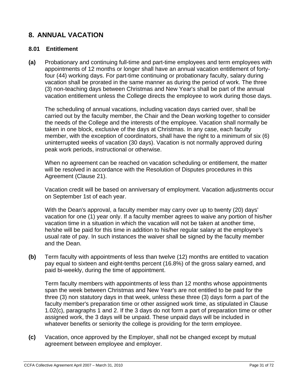# **8. ANNUAL VACATION**

#### **8.01 Entitlement**

**(a)** Probationary and continuing full-time and part-time employees and term employees with appointments of 12 months or longer shall have an annual vacation entitlement of fortyfour (44) working days. For part-time continuing or probationary faculty, salary during vacation shall be prorated in the same manner as during the period of work. The three (3) non-teaching days between Christmas and New Year's shall be part of the annual vacation entitlement unless the College directs the employee to work during those days.

The scheduling of annual vacations, including vacation days carried over, shall be carried out by the faculty member, the Chair and the Dean working together to consider the needs of the College and the interests of the employee. Vacation shall normally be taken in one block, exclusive of the days at Christmas. In any case, each faculty member, with the exception of coordinators, shall have the right to a minimum of six (6) uninterrupted weeks of vacation (30 days). Vacation is not normally approved during peak work periods, instructional or otherwise.

When no agreement can be reached on vacation scheduling or entitlement, the matter will be resolved in accordance with the Resolution of Disputes procedures in this Agreement (Clause 21).

Vacation credit will be based on anniversary of employment. Vacation adjustments occur on September 1st of each year.

With the Dean's approval, a faculty member may carry over up to twenty (20) days' vacation for one (1) year only. If a faculty member agrees to waive any portion of his/her vacation time in a situation in which the vacation will not be taken at another time, he/she will be paid for this time in addition to his/her regular salary at the employee's usual rate of pay. In such instances the waiver shall be signed by the faculty member and the Dean.

**(b)** Term faculty with appointments of less than twelve (12) months are entitled to vacation pay equal to sixteen and eight-tenths percent (16.8%) of the gross salary earned, and paid bi-weekly, during the time of appointment.

Term faculty members with appointments of less than 12 months whose appointments span the week between Christmas and New Year's are not entitled to be paid for the three (3) non statutory days in that week, unless these three (3) days form a part of the faculty member's preparation time or other assigned work time, as stipulated in Clause 1.02(c), paragraphs 1 and 2. If the 3 days do not form a part of preparation time or other assigned work, the 3 days will be unpaid. These unpaid days will be included in whatever benefits or seniority the college is providing for the term employee.

**(c)** Vacation, once approved by the Employer, shall not be changed except by mutual agreement between employee and employer.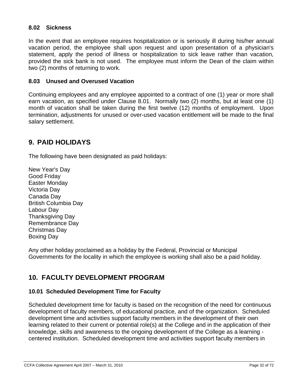#### **8.02 Sickness**

In the event that an employee requires hospitalization or is seriously ill during his/her annual vacation period, the employee shall upon request and upon presentation of a physician's statement, apply the period of illness or hospitalization to sick leave rather than vacation, provided the sick bank is not used. The employee must inform the Dean of the claim within two (2) months of returning to work.

#### **8.03 Unused and Overused Vacation**

Continuing employees and any employee appointed to a contract of one (1) year or more shall earn vacation, as specified under Clause 8.01. Normally two (2) months, but at least one (1) month of vacation shall be taken during the first twelve (12) months of employment. Upon termination, adjustments for unused or over-used vacation entitlement will be made to the final salary settlement.

# **9. PAID HOLIDAYS**

The following have been designated as paid holidays:

New Year's Day Good Friday Easter Monday Victoria Day Canada Day British Columbia Day Labour Day Thanksgiving Day Remembrance Day Christmas Day Boxing Day

Any other holiday proclaimed as a holiday by the Federal, Provincial or Municipal Governments for the locality in which the employee is working shall also be a paid holiday.

# **10. FACULTY DEVELOPMENT PROGRAM**

#### **10.01 Scheduled Development Time for Faculty**

Scheduled development time for faculty is based on the recognition of the need for continuous development of faculty members, of educational practice, and of the organization. Scheduled development time and activities support faculty members in the development of their own learning related to their current or potential role(s) at the College and in the application of their knowledge, skills and awareness to the ongoing development of the College as a learning centered institution. Scheduled development time and activities support faculty members in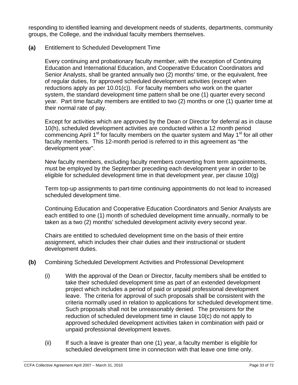responding to identified learning and development needs of students, departments, community groups, the College, and the individual faculty members themselves.

#### **(a)** Entitlement to Scheduled Development Time

Every continuing and probationary faculty member, with the exception of Continuing Education and International Education, and Cooperative Education Coordinators and Senior Analysts, shall be granted annually two (2) months' time, or the equivalent, free of regular duties, for approved scheduled development activities (except when reductions apply as per 10.01(c)). For faculty members who work on the quarter system, the standard development time pattern shall be one (1) quarter every second year. Part time faculty members are entitled to two (2) months or one (1) quarter time at their normal rate of pay.

Except for activities which are approved by the Dean or Director for deferral as in clause 10(h), scheduled development activities are conducted within a 12 month period commencing April 1<sup>st</sup> for faculty members on the quarter system and May 1<sup>st</sup> for all other faculty members. This 12-month period is referred to in this agreement as "the development year".

New faculty members, excluding faculty members converting from term appointments, must be employed by the September preceding each development year in order to be eligible for scheduled development time in that development year, per clause 10(g)

Term top-up assignments to part-time continuing appointments do not lead to increased scheduled development time.

Continuing Education and Cooperative Education Coordinators and Senior Analysts are each entitled to one (1) month of scheduled development time annually, normally to be taken as a two (2) months' scheduled development activity every second year.

Chairs are entitled to scheduled development time on the basis of their entire assignment, which includes their chair duties and their instructional or student development duties.

- **(b)** Combining Scheduled Development Activities and Professional Development
	- (i) With the approval of the Dean or Director, faculty members shall be entitled to take their scheduled development time as part of an extended development project which includes a period of paid or unpaid professional development leave. The criteria for approval of such proposals shall be consistent with the criteria normally used in relation to applications for scheduled development time. Such proposals shall not be unreasonably denied. The provisions for the reduction of scheduled development time in clause 10(c) do not apply to approved scheduled development activities taken in combination with paid or unpaid professional development leaves.
	- (ii) If such a leave is greater than one (1) year, a faculty member is eligible for scheduled development time in connection with that leave one time only.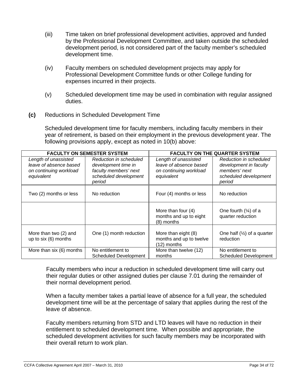- (iii) Time taken on brief professional development activities, approved and funded by the Professional Development Committee, and taken outside the scheduled development period, is not considered part of the faculty member's scheduled development time.
- (iv) Faculty members on scheduled development projects may apply for Professional Development Committee funds or other College funding for expenses incurred in their projects.
- (v) Scheduled development time may be used in combination with regular assigned duties.
- **(c)** Reductions in Scheduled Development Time

Scheduled development time for faculty members, including faculty members in their year of retirement, is based on their employment in the previous development year. The following provisions apply, except as noted in 10(b) above:

| <b>FACULTY ON SEMESTER SYSTEM</b>                                                      |                                                                                                           | <b>FACULTY ON THE QUARTER SYSTEM</b>                                                   |                                                                                                      |
|----------------------------------------------------------------------------------------|-----------------------------------------------------------------------------------------------------------|----------------------------------------------------------------------------------------|------------------------------------------------------------------------------------------------------|
| Length of unassisted<br>leave of absence based<br>on continuing workload<br>equivalent | Reduction in scheduled<br>development time in<br>faculty members' next<br>scheduled development<br>period | Length of unassisted<br>leave of absence based<br>on continuing workload<br>equivalent | Reduction in scheduled<br>development in faculty<br>members' next<br>scheduled development<br>period |
| Two (2) months or less                                                                 | No reduction                                                                                              | Four (4) months or less                                                                | No reduction                                                                                         |
|                                                                                        |                                                                                                           | More than four (4)<br>months and up to eight<br>(8) months                             | One fourth $(\frac{1}{4})$ of a<br>quarter reduction                                                 |
| More than two (2) and<br>up to six (6) months                                          | One (1) month reduction                                                                                   | More than eight (8)<br>months and up to twelve<br>(12) months                          | One half $(\frac{1}{2})$ of a quarter<br>reduction                                                   |
| More than six (6) months                                                               | No entitlement to<br><b>Scheduled Development</b>                                                         | More than twelve (12)<br>months                                                        | No entitlement to<br><b>Scheduled Development</b>                                                    |

Faculty members who incur a reduction in scheduled development time will carry out their regular duties or other assigned duties per clause 7.01 during the remainder of their normal development period.

When a faculty member takes a partial leave of absence for a full year, the scheduled development time will be at the percentage of salary that applies during the rest of the leave of absence.

Faculty members returning from STD and LTD leaves will have no reduction in their entitlement to scheduled development time. When possible and appropriate, the scheduled development activities for such faculty members may be incorporated with their overall return to work plan.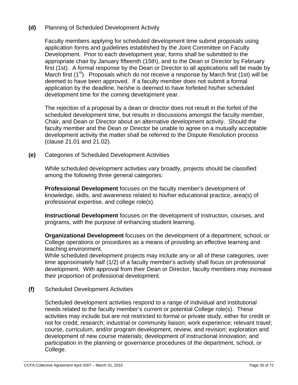#### **(d)** Planning of Scheduled Development Activity

Faculty members applying for scheduled development time submit proposals using application forms and guidelines established by the Joint Committee on Faculty Development. Prior to each development year, forms shall be submitted to the appropriate chair by January fifteenth (15th), and to the Dean or Director by February first (1st). A formal response by the Dean or Director to all applications will be made by March first  $(1^{st})$ . Proposals which do not receive a response by March first (1st) will be deemed to have been approved. If a faculty member does not submit a formal application by the deadline, he/she is deemed to have forfeited his/her scheduled development time for the coming development year.

The rejection of a proposal by a dean or director does not result in the forfeit of the scheduled development time, but results in discussions amongst the faculty member, Chair, and Dean or Director about an alternative development activity. Should the faculty member and the Dean or Director be unable to agree on a mutually acceptable development activity the matter shall be referred to the Dispute Resolution process (clause 21.01 and 21.02).

**(e)** Categories of Scheduled Development Activities

While scheduled development activities vary broadly, projects should be classified among the following three general categories:

**Professional Development** focuses on the faculty member's development of knowledge, skills, and awareness related to his/her educational practice, area(s) of professional expertise, and college role(s).

**Instructional Development** focuses on the development of instruction, courses, and programs, with the purpose of enhancing student learning.

**Organizational Development** focuses on the development of a department, school, or College operations or procedures as a means of providing an effective learning and teaching environment.

While scheduled development projects may include any or all of these categories, over time approximately half (1/2) of a faculty member's activity shall focus on professional development. With approval from their Dean or Director, faculty members may increase their proportion of professional development.

**(f)** Scheduled Development Activities

Scheduled development activities respond to a range of individual and institutional needs related to the faculty member's current or potential College role(s). These activities may include but are not restricted to formal or private study, either for credit or not for credit; research; industrial or community liaison; work experience; relevant travel; course, curriculum, and/or program development, review, and revision; exploration and development of new course materials; development of instructional innovation; and participation in the planning or governance procedures of the department, school, or College.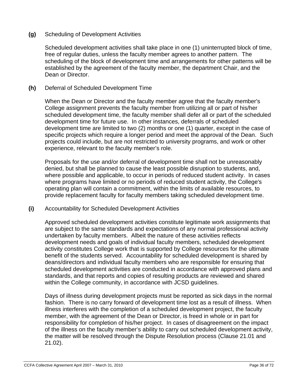#### **(g)** Scheduling of Development Activities

Scheduled development activities shall take place in one (1) uninterrupted block of time, free of regular duties, unless the faculty member agrees to another pattern. The scheduling of the block of development time and arrangements for other patterns will be established by the agreement of the faculty member, the department Chair, and the Dean or Director.

#### **(h)** Deferral of Scheduled Development Time

When the Dean or Director and the faculty member agree that the faculty member's College assignment prevents the faculty member from utilizing all or part of his/her scheduled development time, the faculty member shall defer all or part of the scheduled development time for future use. In other instances, deferrals of scheduled development time are limited to two (2) months or one (1) quarter, except in the case of specific projects which require a longer period and meet the approval of the Dean. Such projects could include, but are not restricted to university programs, and work or other experience, relevant to the faculty member's role.

Proposals for the use and/or deferral of development time shall not be unreasonably denied, but shall be planned to cause the least possible disruption to students, and, where possible and applicable, to occur in periods of reduced student activity. In cases where programs have limited or no periods of reduced student activity, the College's operating plan will contain a commitment, within the limits of available resources, to provide replacement faculty for faculty members taking scheduled development time.

**(i)** Accountability for Scheduled Development Activities

Approved scheduled development activities constitute legitimate work assignments that are subject to the same standards and expectations of any normal professional activity undertaken by faculty members. Albeit the nature of these activities reflects development needs and goals of individual faculty members, scheduled development activity constitutes College work that is supported by College resources for the ultimate benefit of the students served. Accountability for scheduled development is shared by deans/directors and individual faculty members who are responsible for ensuring that scheduled development activities are conducted in accordance with approved plans and standards, and that reports and copies of resulting products are reviewed and shared within the College community, in accordance with JCSD guidelines.

Days of illness during development projects must be reported as sick days in the normal fashion. There is no carry forward of development time lost as a result of illness. When illness interferes with the completion of a scheduled development project, the faculty member, with the agreement of the Dean or Director, is freed in whole or in part for responsibility for completion of his/her project. In cases of disagreement on the impact of the illness on the faculty member's ability to carry out scheduled development activity, the matter will be resolved through the Dispute Resolution process (Clause 21.01 and 21.02).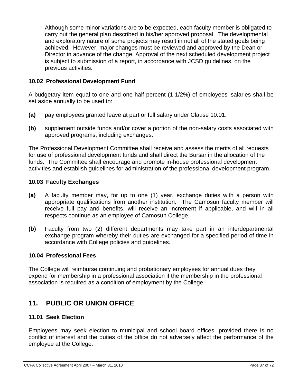Although some minor variations are to be expected, each faculty member is obligated to carry out the general plan described in his/her approved proposal. The developmental and exploratory nature of some projects may result in not all of the stated goals being achieved. However, major changes must be reviewed and approved by the Dean or Director in advance of the change. Approval of the next scheduled development project is subject to submission of a report, in accordance with JCSD guidelines, on the previous activities.

## **10.02 Professional Development Fund**

A budgetary item equal to one and one-half percent (1-1/2%) of employees' salaries shall be set aside annually to be used to:

- **(a)** pay employees granted leave at part or full salary under Clause 10.01.
- **(b)** supplement outside funds and/or cover a portion of the non-salary costs associated with approved programs, including exchanges.

The Professional Development Committee shall receive and assess the merits of all requests for use of professional development funds and shall direct the Bursar in the allocation of the funds. The Committee shall encourage and promote in-house professional development activities and establish guidelines for administration of the professional development program.

## **10.03 Faculty Exchanges**

- **(a)** A faculty member may, for up to one (1) year, exchange duties with a person with appropriate qualifications from another institution. The Camosun faculty member will receive full pay and benefits, will receive an increment if applicable, and will in all respects continue as an employee of Camosun College.
- **(b)** Faculty from two (2) different departments may take part in an interdepartmental exchange program whereby their duties are exchanged for a specified period of time in accordance with College policies and guidelines.

## **10.04 Professional Fees**

The College will reimburse continuing and probationary employees for annual dues they expend for membership in a professional association if the membership in the professional association is required as a condition of employment by the College.

# **11. PUBLIC OR UNION OFFICE**

## **11.01 Seek Election**

Employees may seek election to municipal and school board offices, provided there is no conflict of interest and the duties of the office do not adversely affect the performance of the employee at the College.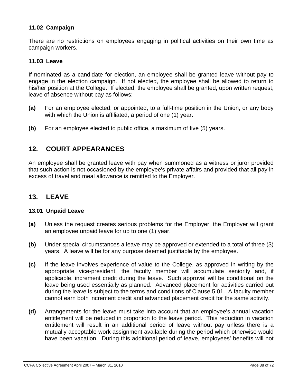## **11.02 Campaign**

There are no restrictions on employees engaging in political activities on their own time as campaign workers.

### **11.03 Leave**

If nominated as a candidate for election, an employee shall be granted leave without pay to engage in the election campaign. If not elected, the employee shall be allowed to return to his/her position at the College. If elected, the employee shall be granted, upon written request, leave of absence without pay as follows:

- **(a)** For an employee elected, or appointed, to a full-time position in the Union, or any body with which the Union is affiliated, a period of one (1) year.
- **(b)** For an employee elected to public office, a maximum of five (5) years.

# **12. COURT APPEARANCES**

An employee shall be granted leave with pay when summoned as a witness or juror provided that such action is not occasioned by the employee's private affairs and provided that all pay in excess of travel and meal allowance is remitted to the Employer.

# **13. LEAVE**

#### **13.01 Unpaid Leave**

- **(a)** Unless the request creates serious problems for the Employer, the Employer will grant an employee unpaid leave for up to one (1) year.
- **(b)** Under special circumstances a leave may be approved or extended to a total of three (3) years. A leave will be for any purpose deemed justifiable by the employee.
- **(c)** If the leave involves experience of value to the College, as approved in writing by the appropriate vice-president, the faculty member will accumulate seniority and, if applicable, increment credit during the leave. Such approval will be conditional on the leave being used essentially as planned. Advanced placement for activities carried out during the leave is subject to the terms and conditions of Clause 5.01. A faculty member cannot earn both increment credit and advanced placement credit for the same activity.
- **(d)** Arrangements for the leave must take into account that an employee's annual vacation entitlement will be reduced in proportion to the leave period. This reduction in vacation entitlement will result in an additional period of leave without pay unless there is a mutually acceptable work assignment available during the period which otherwise would have been vacation. During this additional period of leave, employees' benefits will not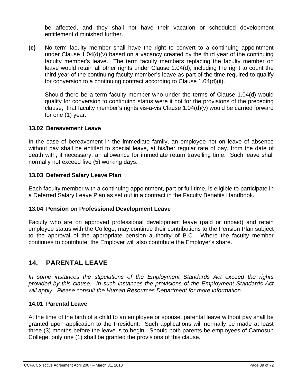be affected, and they shall not have their vacation or scheduled development entitlement diminished further.

**(e)** No term faculty member shall have the right to convert to a continuing appointment under Clause 1.04(d)(v) based on a vacancy created by the third year of the continuing faculty member's leave. The term faculty members replacing the faculty member on leave would retain all other rights under Clause 1.04(d), including the right to count the third year of the continuing faculty member's leave as part of the time required to qualify for conversion to a continuing contract according to Clause 1.04(d)(ii).

Should there be a term faculty member who under the terms of Clause 1.04(d) would qualify for conversion to continuing status were it not for the provisions of the preceding clause, that faculty member's rights vis-a-vis Clause  $1.04(d)(v)$  would be carried forward for one (1) year.

### **13.02 Bereavement Leave**

In the case of bereavement in the immediate family, an employee not on leave of absence without pay shall be entitled to special leave, at his/her regular rate of pay, from the date of death with, if necessary, an allowance for immediate return travelling time. Such leave shall normally not exceed five (5) working days.

## **13.03 Deferred Salary Leave Plan**

Each faculty member with a continuing appointment, part or full-time, is eligible to participate in a Deferred Salary Leave Plan as set out in a contract in the Faculty Benefits Handbook.

## **13.04 Pension on Professional Development Leave**

Faculty who are on approved professional development leave (paid or unpaid) and retain employee status with the College, may continue their contributions to the Pension Plan subject to the approval of the appropriate pension authority of B.C. Where the faculty member continues to contribute, the Employer will also contribute the Employer's share.

# **14. PARENTAL LEAVE**

*In some instances the stipulations of the Employment Standards Act exceed the rights provided by this clause. In such instances the provisions of the Employment Standards Act will apply. Please consult the Human Resources Department for more information.* 

## **14.01 Parental Leave**

At the time of the birth of a child to an employee or spouse, parental leave without pay shall be granted upon application to the President. Such applications will normally be made at least three (3) months before the leave is to begin. Should both parents be employees of Camosun College, only one (1) shall be granted the provisions of this clause.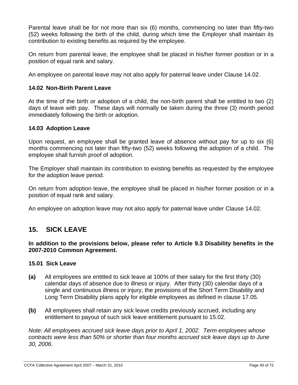Parental leave shall be for not more than six (6) months, commencing no later than fifty-two (52) weeks following the birth of the child, during which time the Employer shall maintain its contribution to existing benefits as required by the employee.

On return from parental leave, the employee shall be placed in his/her former position or in a position of equal rank and salary.

An employee on parental leave may not also apply for paternal leave under Clause 14.02.

## **14.02 Non-Birth Parent Leave**

At the time of the birth or adoption of a child, the non-birth parent shall be entitled to two (2) days of leave with pay. These days will normally be taken during the three (3) month period immediately following the birth or adoption.

## **14.03 Adoption Leave**

Upon request, an employee shall be granted leave of absence without pay for up to six (6) months commencing not later than fifty-two (52) weeks following the adoption of a child. The employee shall furnish proof of adoption.

The Employer shall maintain its contribution to existing benefits as requested by the employee for the adoption leave period.

On return from adoption leave, the employee shall be placed in his/her former position or in a position of equal rank and salary.

An employee on adoption leave may not also apply for paternal leave under Clause 14.02.

# **15. SICK LEAVE**

**In addition to the provisions below, please refer to Article 9.3 Disability benefits in the 2007-2010 Common Agreement.** 

## **15.01 Sick Leave**

- **(a)** All employees are entitled to sick leave at 100% of their salary for the first thirty (30) calendar days of absence due to illness or injury. After thirty (30) calendar days of a single and continuous illness or injury, the provisions of the Short Term Disability and Long Term Disability plans apply for eligible employees as defined in clause 17.05.
- **(b)** All employees shall retain any sick leave credits previously accrued, including any entitlement to payout of such sick leave entitlement pursuant to 15.02.

*Note: All employees accrued sick leave days prior to April 1, 2002. Term employees whose contracts were less than 50% or shorter than four months accrued sick leave days up to June 30, 2006.*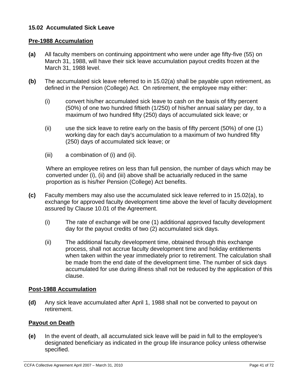## **15.02 Accumulated Sick Leave**

## **Pre-1988 Accumulation**

- **(a)** All faculty members on continuing appointment who were under age fifty-five (55) on March 31, 1988, will have their sick leave accumulation payout credits frozen at the March 31, 1988 level.
- **(b)** The accumulated sick leave referred to in 15.02(a) shall be payable upon retirement, as defined in the Pension (College) Act.On retirement, the employee may either:
	- (i) convert his/her accumulated sick leave to cash on the basis of fifty percent (50%) of one two hundred fiftieth (1/250) of his/her annual salary per day, to a maximum of two hundred fifty (250) days of accumulated sick leave; or
	- (ii) use the sick leave to retire early on the basis of fifty percent (50%) of one (1) working day for each day's accumulation to a maximum of two hundred fifty (250) days of accumulated sick leave; or
	- (iii) a combination of (i) and (ii).

Where an employee retires on less than full pension, the number of days which may be converted under (i), (ii) and (iii) above shall be actuarially reduced in the same proportion as is his/her Pension (College) Act benefits.

- **(c)** Faculty members may also use the accumulated sick leave referred to in 15.02(a), to exchange for approved faculty development time above the level of faculty development assured by Clause 10.01 of the Agreement.
	- (i) The rate of exchange will be one (1) additional approved faculty development day for the payout credits of two (2) accumulated sick days.
	- (ii) The additional faculty development time, obtained through this exchange process, shall not accrue faculty development time and holiday entitlements when taken within the year immediately prior to retirement. The calculation shall be made from the end date of the development time. The number of sick days accumulated for use during illness shall not be reduced by the application of this clause.

## **Post-1988 Accumulation**

**(d)** Any sick leave accumulated after April 1, 1988 shall not be converted to payout on retirement.

## **Payout on Death**

**(e)** In the event of death, all accumulated sick leave will be paid in full to the employee's designated beneficiary as indicated in the group life insurance policy unless otherwise specified.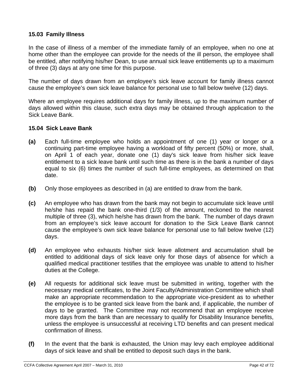## **15.03 Family Illness**

In the case of illness of a member of the immediate family of an employee, when no one at home other than the employee can provide for the needs of the ill person, the employee shall be entitled, after notifying his/her Dean, to use annual sick leave entitlements up to a maximum of three (3) days at any one time for this purpose.

The number of days drawn from an employee's sick leave account for family illness cannot cause the employee's own sick leave balance for personal use to fall below twelve (12) days.

Where an employee requires additional days for family illness, up to the maximum number of days allowed within this clause, such extra days may be obtained through application to the Sick Leave Bank.

### **15.04 Sick Leave Bank**

- **(a)** Each full-time employee who holds an appointment of one (1) year or longer or a continuing part-time employee having a workload of fifty percent (50%) or more, shall, on April 1 of each year, donate one (1) day's sick leave from his/her sick leave entitlement to a sick leave bank until such time as there is in the bank a number of days equal to six (6) times the number of such full-time employees, as determined on that date.
- **(b)** Only those employees as described in (a) are entitled to draw from the bank.
- **(c)** An employee who has drawn from the bank may not begin to accumulate sick leave until he/she has repaid the bank one-third (1/3) of the amount, reckoned to the nearest multiple of three (3), which he/she has drawn from the bank. The number of days drawn from an employee's sick leave account for donation to the Sick Leave Bank cannot cause the employee's own sick leave balance for personal use to fall below twelve (12) days.
- **(d)** An employee who exhausts his/her sick leave allotment and accumulation shall be entitled to additional days of sick leave only for those days of absence for which a qualified medical practitioner testifies that the employee was unable to attend to his/her duties at the College.
- **(e)** All requests for additional sick leave must be submitted in writing, together with the necessary medical certificates, to the Joint Faculty/Administration Committee which shall make an appropriate recommendation to the appropriate vice-president as to whether the employee is to be granted sick leave from the bank and, if applicable, the number of days to be granted. The Committee may not recommend that an employee receive more days from the bank than are necessary to qualify for Disability Insurance benefits, unless the employee is unsuccessful at receiving LTD benefits and can present medical confirmation of illness.
- **(f)** In the event that the bank is exhausted, the Union may levy each employee additional days of sick leave and shall be entitled to deposit such days in the bank.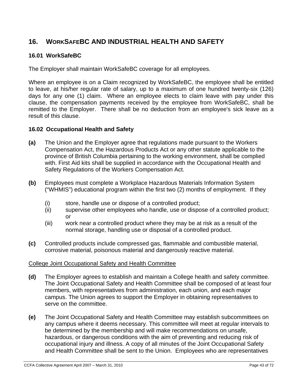# **16. WORKSAFEBC AND INDUSTRIAL HEALTH AND SAFETY**

# **16.01 WorkSafeBC**

The Employer shall maintain WorkSafeBC coverage for all employees.

Where an employee is on a Claim recognized by WorkSafeBC, the employee shall be entitled to leave, at his/her regular rate of salary, up to a maximum of one hundred twenty-six (126) days for any one (1) claim. Where an employee elects to claim leave with pay under this clause, the compensation payments received by the employee from WorkSafeBC, shall be remitted to the Employer. There shall be no deduction from an employee's sick leave as a result of this clause.

## **16.02 Occupational Health and Safety**

- **(a)** The Union and the Employer agree that regulations made pursuant to the Workers Compensation Act, the Hazardous Products Act or any other statute applicable to the province of British Columbia pertaining to the working environment, shall be complied with. First Aid kits shall be supplied in accordance with the Occupational Health and Safety Regulations of the Workers Compensation Act.
- **(b)** Employees must complete a Workplace Hazardous Materials Information System ("WHMIS") educational program within the first two (2) months of employment. If they
	- (i) store, handle use or dispose of a controlled product;
	- (ii) supervise other employees who handle, use or dispose of a controlled product; or
	- (iii) work near a controlled product where they may be at risk as a result of the normal storage, handling use or disposal of a controlled product.
- **(c)** Controlled products include compressed gas, flammable and combustible material, corrosive material, poisonous material and dangerously reactive material.

# College Joint Occupational Safety and Health Committee

- **(d)** The Employer agrees to establish and maintain a College health and safety committee. The Joint Occupational Safety and Health Committee shall be composed of at least four members, with representatives from administration, each union, and each major campus. The Union agrees to support the Employer in obtaining representatives to serve on the committee.
- **(e)** The Joint Occupational Safety and Health Committee may establish subcommittees on any campus where it deems necessary. This committee will meet at regular intervals to be determined by the membership and will make recommendations on unsafe, hazardous, or dangerous conditions with the aim of preventing and reducing risk of occupational injury and illness. A copy of all minutes of the Joint Occupational Safety and Health Committee shall be sent to the Union. Employees who are representatives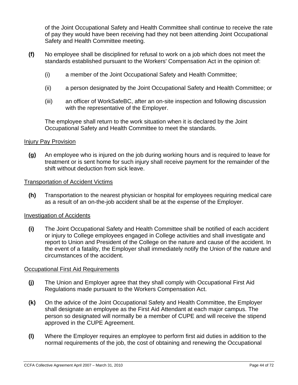of the Joint Occupational Safety and Health Committee shall continue to receive the rate of pay they would have been receiving had they not been attending Joint Occupational Safety and Health Committee meeting.

- **(f)** No employee shall be disciplined for refusal to work on a job which does not meet the standards established pursuant to the Workers' Compensation Act in the opinion of:
	- (i) a member of the Joint Occupational Safety and Health Committee;
	- (ii) a person designated by the Joint Occupational Safety and Health Committee; or
	- (iii) an officer of WorkSafeBC, after an on-site inspection and following discussion with the representative of the Employer.

The employee shall return to the work situation when it is declared by the Joint Occupational Safety and Health Committee to meet the standards.

### Injury Pay Provision

**(g)** An employee who is injured on the job during working hours and is required to leave for treatment or is sent home for such injury shall receive payment for the remainder of the shift without deduction from sick leave.

#### Transportation of Accident Victims

**(h)** Transportation to the nearest physician or hospital for employees requiring medical care as a result of an on-the-job accident shall be at the expense of the Employer.

#### Investigation of Accidents

**(i)** The Joint Occupational Safety and Health Committee shall be notified of each accident or injury to College employees engaged in College activities and shall investigate and report to Union and President of the College on the nature and cause of the accident. In the event of a fatality, the Employer shall immediately notify the Union of the nature and circumstances of the accident.

#### Occupational First Aid Requirements

- **(j)** The Union and Employer agree that they shall comply with Occupational First Aid Regulations made pursuant to the Workers Compensation Act.
- **(k)** On the advice of the Joint Occupational Safety and Health Committee, the Employer shall designate an employee as the First Aid Attendant at each major campus. The person so designated will normally be a member of CUPE and will receive the stipend approved in the CUPE Agreement.
- **(l)** Where the Employer requires an employee to perform first aid duties in addition to the normal requirements of the job, the cost of obtaining and renewing the Occupational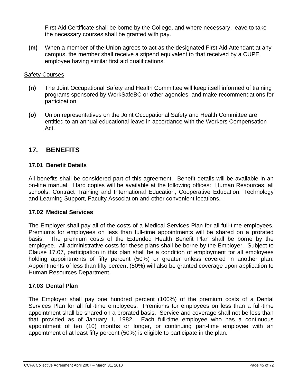First Aid Certificate shall be borne by the College, and where necessary, leave to take the necessary courses shall be granted with pay.

**(m)** When a member of the Union agrees to act as the designated First Aid Attendant at any campus, the member shall receive a stipend equivalent to that received by a CUPE employee having similar first aid qualifications.

## **Safety Courses**

- **(n)** The Joint Occupational Safety and Health Committee will keep itself informed of training programs sponsored by WorkSafeBC or other agencies, and make recommendations for participation.
- **(o)** Union representatives on the Joint Occupational Safety and Health Committee are entitled to an annual educational leave in accordance with the Workers Compensation Act.

# **17. BENEFITS**

# **17.01 Benefit Details**

All benefits shall be considered part of this agreement. Benefit details will be available in an on-line manual. Hard copies will be available at the following offices: Human Resources, all schools, Contract Training and International Education, Cooperative Education, Technology and Learning Support, Faculty Association and other convenient locations.

## **17.02 Medical Services**

The Employer shall pay all of the costs of a Medical Services Plan for all full-time employees. Premiums for employees on less than full-time appointments will be shared on a prorated basis. The premium costs of the Extended Health Benefit Plan shall be borne by the employee. All administrative costs for these plans shall be borne by the Employer. Subject to Clause 17.07, participation in this plan shall be a condition of employment for all employees holding appointments of fifty percent (50%) or greater unless covered in another plan. Appointments of less than fifty percent (50%) will also be granted coverage upon application to Human Resources Department.

# **17.03 Dental Plan**

The Employer shall pay one hundred percent (100%) of the premium costs of a Dental Services Plan for all full-time employees. Premiums for employees on less than a full-time appointment shall be shared on a prorated basis. Service and coverage shall not be less than that provided as of January 1, 1982. Each full-time employee who has a continuous appointment of ten (10) months or longer, or continuing part-time employee with an appointment of at least fifty percent (50%) is eligible to participate in the plan.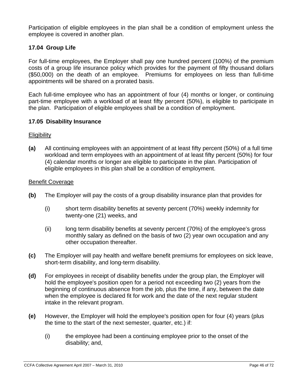Participation of eligible employees in the plan shall be a condition of employment unless the employee is covered in another plan.

## **17.04 Group Life**

For full-time employees, the Employer shall pay one hundred percent (100%) of the premium costs of a group life insurance policy which provides for the payment of fifty thousand dollars (\$50,000) on the death of an employee. Premiums for employees on less than full-time appointments will be shared on a prorated basis.

Each full-time employee who has an appointment of four (4) months or longer, or continuing part-time employee with a workload of at least fifty percent (50%), is eligible to participate in the plan. Participation of eligible employees shall be a condition of employment.

### **17.05 Disability Insurance**

### **Eligibility**

**(a)** All continuing employees with an appointment of at least fifty percent (50%) of a full time workload and term employees with an appointment of at least fifty percent (50%) for four (4) calendar months or longer are eligible to participate in the plan. Participation of eligible employees in this plan shall be a condition of employment.

#### Benefit Coverage

- **(b)** The Employer will pay the costs of a group disability insurance plan that provides for
	- (i) short term disability benefits at seventy percent (70%) weekly indemnity for twenty-one (21) weeks, and
	- (ii) long term disability benefits at seventy percent (70%) of the employee's gross monthly salary as defined on the basis of two (2) year own occupation and any other occupation thereafter.
- **(c)** The Employer will pay health and welfare benefit premiums for employees on sick leave, short-term disability, and long-term disability.
- **(d)** For employees in receipt of disability benefits under the group plan, the Employer will hold the employee's position open for a period not exceeding two (2) years from the beginning of continuous absence from the job, plus the time, if any, between the date when the employee is declared fit for work and the date of the next regular student intake in the relevant program.
- **(e)** However, the Employer will hold the employee's position open for four (4) years (plus the time to the start of the next semester, quarter, etc.) if:
	- (i) the employee had been a continuing employee prior to the onset of the disability; and,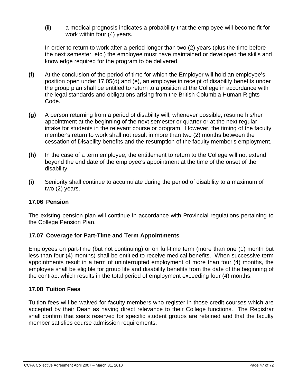(ii) a medical prognosis indicates a probability that the employee will become fit for work within four (4) years.

In order to return to work after a period longer than two (2) years (plus the time before the next semester, etc.) the employee must have maintained or developed the skills and knowledge required for the program to be delivered.

- **(f)** At the conclusion of the period of time for which the Employer will hold an employee's position open under 17.05(d) and (e), an employee in receipt of disability benefits under the group plan shall be entitled to return to a position at the College in accordance with the legal standards and obligations arising from the British Columbia Human Rights Code.
- **(g)** A person returning from a period of disability will, whenever possible, resume his/her appointment at the beginning of the next semester or quarter or at the next regular intake for students in the relevant course or program. However, the timing of the faculty member's return to work shall not result in more than two (2) months between the cessation of Disability benefits and the resumption of the faculty member's employment.
- **(h)** In the case of a term employee, the entitlement to return to the College will not extend beyond the end date of the employee's appointment at the time of the onset of the disability.
- **(i)** Seniority shall continue to accumulate during the period of disability to a maximum of two (2) years.

# **17.06 Pension**

The existing pension plan will continue in accordance with Provincial regulations pertaining to the College Pension Plan.

# **17.07 Coverage for Part-Time and Term Appointments**

Employees on part-time (but not continuing) or on full-time term (more than one (1) month but less than four (4) months) shall be entitled to receive medical benefits. When successive term appointments result in a term of uninterrupted employment of more than four (4) months, the employee shall be eligible for group life and disability benefits from the date of the beginning of the contract which results in the total period of employment exceeding four (4) months.

## **17.08 Tuition Fees**

Tuition fees will be waived for faculty members who register in those credit courses which are accepted by their Dean as having direct relevance to their College functions. The Registrar shall confirm that seats reserved for specific student groups are retained and that the faculty member satisfies course admission requirements.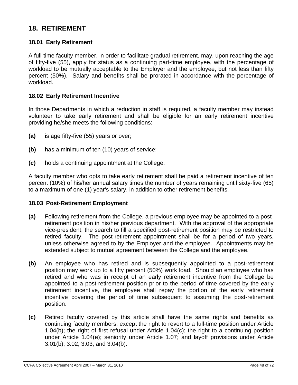# **18. RETIREMENT**

## **18.01 Early Retirement**

A full-time faculty member, in order to facilitate gradual retirement, may, upon reaching the age of fifty-five (55), apply for status as a continuing part-time employee, with the percentage of workload to be mutually acceptable to the Employer and the employee, but not less than fifty percent (50%). Salary and benefits shall be prorated in accordance with the percentage of workload.

### **18.02 Early Retirement Incentive**

In those Departments in which a reduction in staff is required, a faculty member may instead volunteer to take early retirement and shall be eligible for an early retirement incentive providing he/she meets the following conditions:

- **(a)** is age fifty-five (55) years or over;
- **(b)** has a minimum of ten (10) years of service;
- **(c)** holds a continuing appointment at the College.

A faculty member who opts to take early retirement shall be paid a retirement incentive of ten percent (10%) of his/her annual salary times the number of years remaining until sixty-five (65) to a maximum of one (1) year's salary, in addition to other retirement benefits.

#### **18.03 Post-Retirement Employment**

- **(a)** Following retirement from the College, a previous employee may be appointed to a postretirement position in his/her previous department. With the approval of the appropriate vice-president, the search to fill a specified post-retirement position may be restricted to retired faculty. The post-retirement appointment shall be for a period of two years, unless otherwise agreed to by the Employer and the employee. Appointments may be extended subject to mutual agreement between the College and the employee.
- **(b)** An employee who has retired and is subsequently appointed to a post-retirement position may work up to a fifty percent (50%) work load. Should an employee who has retired and who was in receipt of an early retirement incentive from the College be appointed to a post-retirement position prior to the period of time covered by the early retirement incentive, the employee shall repay the portion of the early retirement incentive covering the period of time subsequent to assuming the post-retirement position.
- **(c)** Retired faculty covered by this article shall have the same rights and benefits as continuing faculty members, except the right to revert to a full-time position under Article 1.04(b); the right of first refusal under Article 1.04(c); the right to a continuing position under Article 1.04(e); seniority under Article 1.07; and layoff provisions under Article 3.01(b); 3.02, 3.03, and 3.04(b).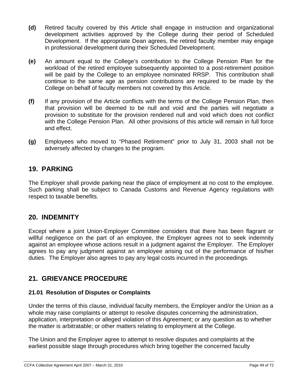- **(d)** Retired faculty covered by this Article shall engage in instruction and organizational development activities approved by the College during their period of Scheduled Development. If the appropriate Dean agrees, the retired faculty member may engage in professional development during their Scheduled Development.
- **(e)** An amount equal to the College's contribution to the College Pension Plan for the workload of the retired employee subsequently appointed to a post-retirement position will be paid by the College to an employee nominated RRSP. This contribution shall continue to the same age as pension contributions are required to be made by the College on behalf of faculty members not covered by this Article.
- **(f)** If any provision of the Article conflicts with the terms of the College Pension Plan, then that provision will be deemed to be null and void and the parties will negotiate a provision to substitute for the provision rendered null and void which does not conflict with the College Pension Plan. All other provisions of this article will remain in full force and effect.
- **(g)** Employees who moved to "Phased Retirement" prior to July 31, 2003 shall not be adversely affected by changes to the program.

# **19. PARKING**

The Employer shall provide parking near the place of employment at no cost to the employee. Such parking shall be subject to Canada Customs and Revenue Agency regulations with respect to taxable benefits.

# **20. INDEMNITY**

Except where a joint Union-Employer Committee considers that there has been flagrant or willful negligence on the part of an employee, the Employer agrees not to seek indemnity against an employee whose actions result in a judgment against the Employer. The Employer agrees to pay any judgment against an employee arising out of the performance of his/her duties. The Employer also agrees to pay any legal costs incurred in the proceedings.

# **21. GRIEVANCE PROCEDURE**

# **21.01 Resolution of Disputes or Complaints**

Under the terms of this clause, individual faculty members, the Employer and/or the Union as a whole may raise complaints or attempt to resolve disputes concerning the administration, application, interpretation or alleged violation of this Agreement; or any question as to whether the matter is arbitratable; or other matters relating to employment at the College.

The Union and the Employer agree to attempt to resolve disputes and complaints at the earliest possible stage through procedures which bring together the concerned faculty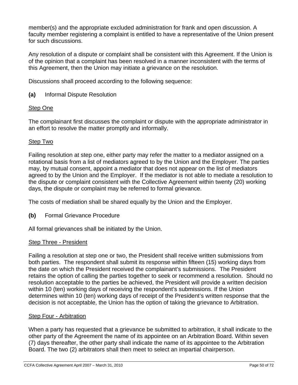member(s) and the appropriate excluded administration for frank and open discussion. A faculty member registering a complaint is entitled to have a representative of the Union present for such discussions.

Any resolution of a dispute or complaint shall be consistent with this Agreement. If the Union is of the opinion that a complaint has been resolved in a manner inconsistent with the terms of this Agreement, then the Union may initiate a grievance on the resolution.

Discussions shall proceed according to the following sequence:

**(a)** Informal Dispute Resolution

# Step One

The complainant first discusses the complaint or dispute with the appropriate administrator in an effort to resolve the matter promptly and informally.

# **Step Two**

Failing resolution at step one, either party may refer the matter to a mediator assigned on a rotational basis from a list of mediators agreed to by the Union and the Employer. The parties may, by mutual consent, appoint a mediator that does not appear on the list of mediators agreed to by the Union and the Employer. If the mediator is not able to mediate a resolution to the dispute or complaint consistent with the Collective Agreement within twenty (20) working days, the dispute or complaint may be referred to formal grievance.

The costs of mediation shall be shared equally by the Union and the Employer.

**(b)** Formal Grievance Procedure

All formal grievances shall be initiated by the Union.

## Step Three - President

Failing a resolution at step one or two, the President shall receive written submissions from both parties. The respondent shall submit its response within fifteen (15) working days from the date on which the President received the complainant's submissions. The President retains the option of calling the parties together to seek or recommend a resolution. Should no resolution acceptable to the parties be achieved, the President will provide a written decision within 10 (ten) working days of receiving the respondent's submissions. If the Union determines within 10 (ten) working days of receipt of the President's written response that the decision is not acceptable, the Union has the option of taking the grievance to Arbitration.

## Step Four - Arbitration

When a party has requested that a grievance be submitted to arbitration, it shall indicate to the other party of the Agreement the name of its appointee on an Arbitration Board. Within seven (7) days thereafter, the other party shall indicate the name of its appointee to the Arbitration Board. The two (2) arbitrators shall then meet to select an impartial chairperson.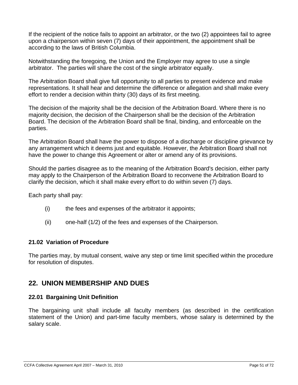If the recipient of the notice fails to appoint an arbitrator, or the two (2) appointees fail to agree upon a chairperson within seven (7) days of their appointment, the appointment shall be according to the laws of British Columbia.

Notwithstanding the foregoing, the Union and the Employer may agree to use a single arbitrator. The parties will share the cost of the single arbitrator equally.

The Arbitration Board shall give full opportunity to all parties to present evidence and make representations. It shall hear and determine the difference or allegation and shall make every effort to render a decision within thirty (30) days of its first meeting.

The decision of the majority shall be the decision of the Arbitration Board. Where there is no majority decision, the decision of the Chairperson shall be the decision of the Arbitration Board. The decision of the Arbitration Board shall be final, binding, and enforceable on the parties.

The Arbitration Board shall have the power to dispose of a discharge or discipline grievance by any arrangement which it deems just and equitable. However, the Arbitration Board shall not have the power to change this Agreement or alter or amend any of its provisions.

Should the parties disagree as to the meaning of the Arbitration Board's decision, either party may apply to the Chairperson of the Arbitration Board to reconvene the Arbitration Board to clarify the decision, which it shall make every effort to do within seven (7) days.

Each party shall pay:

- (i) the fees and expenses of the arbitrator it appoints;
- (ii) one-half (1/2) of the fees and expenses of the Chairperson.

## **21.02 Variation of Procedure**

The parties may, by mutual consent, waive any step or time limit specified within the procedure for resolution of disputes.

# **22. UNION MEMBERSHIP AND DUES**

## **22.01 Bargaining Unit Definition**

The bargaining unit shall include all faculty members (as described in the certification statement of the Union) and part-time faculty members, whose salary is determined by the salary scale.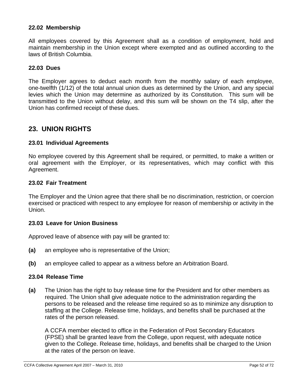## **22.02 Membership**

All employees covered by this Agreement shall as a condition of employment, hold and maintain membership in the Union except where exempted and as outlined according to the laws of British Columbia.

#### **22.03 Dues**

The Employer agrees to deduct each month from the monthly salary of each employee, one-twelfth (1/12) of the total annual union dues as determined by the Union, and any special levies which the Union may determine as authorized by its Constitution. This sum will be transmitted to the Union without delay, and this sum will be shown on the T4 slip, after the Union has confirmed receipt of these dues.

# **23. UNION RIGHTS**

### **23.01 Individual Agreements**

No employee covered by this Agreement shall be required, or permitted, to make a written or oral agreement with the Employer, or its representatives, which may conflict with this Agreement.

#### **23.02 Fair Treatment**

The Employer and the Union agree that there shall be no discrimination, restriction, or coercion exercised or practiced with respect to any employee for reason of membership or activity in the Union.

#### **23.03 Leave for Union Business**

Approved leave of absence with pay will be granted to:

- **(a)** an employee who is representative of the Union;
- **(b)** an employee called to appear as a witness before an Arbitration Board.

#### **23.04 Release Time**

**(a)** The Union has the right to buy release time for the President and for other members as required. The Union shall give adequate notice to the administration regarding the persons to be released and the release time required so as to minimize any disruption to staffing at the College. Release time, holidays, and benefits shall be purchased at the rates of the person released.

A CCFA member elected to office in the Federation of Post Secondary Educators (FPSE) shall be granted leave from the College, upon request, with adequate notice given to the College. Release time, holidays, and benefits shall be charged to the Union at the rates of the person on leave.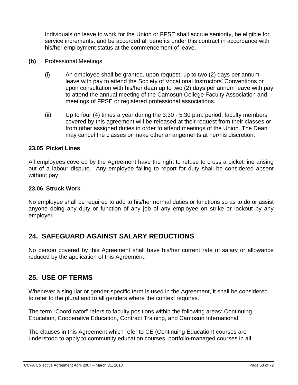Individuals on leave to work for the Union or FPSE shall accrue seniority, be eligible for service increments, and be accorded all benefits under this contract in accordance with his/her employment status at the commencement of leave.

- **(b)** Professional Meetings
	- (i) An employee shall be granted, upon request, up to two (2) days per annum leave with pay to attend the Society of Vocational Instructors' Conventions or upon consultation with his/her dean up to two (2) days per annum leave with pay to attend the annual meeting of the Camosun College Faculty Association and meetings of FPSE or registered professional associations.
	- (ii) Up to four (4) times a year during the  $3:30 5:30$  p.m. period, faculty members covered by this agreement will be released at their request from their classes or from other assigned duties in order to attend meetings of the Union. The Dean may cancel the classes or make other arrangements at her/his discretion.

## **23.05 Picket Lines**

All employees covered by the Agreement have the right to refuse to cross a picket line arising out of a labour dispute. Any employee failing to report for duty shall be considered absent without pay.

## **23.06 Struck Work**

No employee shall be required to add to his/her normal duties or functions so as to do or assist anyone doing any duty or function of any job of any employee on strike or lockout by any employer.

# **24. SAFEGUARD AGAINST SALARY REDUCTIONS**

No person covered by this Agreement shall have his/her current rate of salary or allowance reduced by the application of this Agreement.

# **25. USE OF TERMS**

Whenever a singular or gender-specific term is used in the Agreement, it shall be considered to refer to the plural and to all genders where the context requires.

The term "Coordinator" refers to faculty positions within the following areas: Continuing Education, Cooperative Education, Contract Training, and Camosun International.

The clauses in this Agreement which refer to CE (Continuing Education) courses are understood to apply to community education courses, portfolio-managed courses in all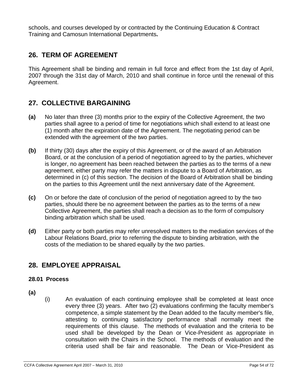schools, and courses developed by or contracted by the Continuing Education & Contract Training and Camosun International Departments**.** 

# **26. TERM OF AGREEMENT**

This Agreement shall be binding and remain in full force and effect from the 1st day of April, 2007 through the 31st day of March, 2010 and shall continue in force until the renewal of this Agreement.

# **27. COLLECTIVE BARGAINING**

- **(a)** No later than three (3) months prior to the expiry of the Collective Agreement, the two parties shall agree to a period of time for negotiations which shall extend to at least one (1) month after the expiration date of the Agreement. The negotiating period can be extended with the agreement of the two parties.
- **(b)** If thirty (30) days after the expiry of this Agreement, or of the award of an Arbitration Board, or at the conclusion of a period of negotiation agreed to by the parties, whichever is longer, no agreement has been reached between the parties as to the terms of a new agreement, either party may refer the matters in dispute to a Board of Arbitration, as determined in (c) of this section. The decision of the Board of Arbitration shall be binding on the parties to this Agreement until the next anniversary date of the Agreement.
- **(c)** On or before the date of conclusion of the period of negotiation agreed to by the two parties, should there be no agreement between the parties as to the terms of a new Collective Agreement, the parties shall reach a decision as to the form of compulsory binding arbitration which shall be used.
- **(d)** Either party or both parties may refer unresolved matters to the mediation services of the Labour Relations Board, prior to referring the dispute to binding arbitration, with the costs of the mediation to be shared equally by the two parties.

# **28. EMPLOYEE APPRAISAL**

# **28.01 Process**

- **(a)**
- (i) An evaluation of each continuing employee shall be completed at least once every three (3) years. After two (2) evaluations confirming the faculty member's competence, a simple statement by the Dean added to the faculty member's file, attesting to continuing satisfactory performance shall normally meet the requirements of this clause. The methods of evaluation and the criteria to be used shall be developed by the Dean or Vice-President as appropriate in consultation with the Chairs in the School. The methods of evaluation and the criteria used shall be fair and reasonable. The Dean or Vice-President as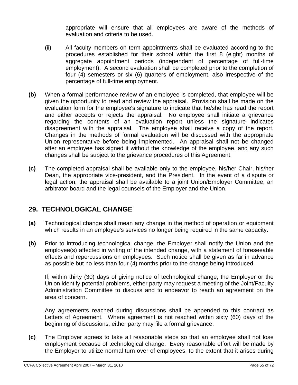appropriate will ensure that all employees are aware of the methods of evaluation and criteria to be used.

- (ii) All faculty members on term appointments shall be evaluated according to the procedures established for their school within the first 8 (eight) months of aggregate appointment periods (independent of percentage of full-time employment). A second evaluation shall be completed prior to the completion of four (4) semesters or six (6) quarters of employment, also irrespective of the percentage of full-time employment.
- **(b)** When a formal performance review of an employee is completed, that employee will be given the opportunity to read and review the appraisal. Provision shall be made on the evaluation form for the employee's signature to indicate that he/she has read the report and either accepts or rejects the appraisal. No employee shall initiate a grievance regarding the contents of an evaluation report unless the signature indicates disagreement with the appraisal. The employee shall receive a copy of the report. Changes in the methods of formal evaluation will be discussed with the appropriate Union representative before being implemented. An appraisal shall not be changed after an employee has signed it without the knowledge of the employee, and any such changes shall be subject to the grievance procedures of this Agreement.
- **(c)** The completed appraisal shall be available only to the employee, his/her Chair, his/her Dean, the appropriate vice-president, and the President. In the event of a dispute or legal action, the appraisal shall be available to a joint Union/Employer Committee, an arbitrator board and the legal counsels of the Employer and the Union.

# **29. TECHNOLOGICAL CHANGE**

- **(a)** Technological change shall mean any change in the method of operation or equipment which results in an employee's services no longer being required in the same capacity.
- **(b)** Prior to introducing technological change, the Employer shall notify the Union and the employee(s) affected in writing of the intended change, with a statement of foreseeable effects and repercussions on employees. Such notice shall be given as far in advance as possible but no less than four (4) months prior to the change being introduced.

If, within thirty (30) days of giving notice of technological change, the Employer or the Union identify potential problems, either party may request a meeting of the Joint/Faculty Administration Committee to discuss and to endeavor to reach an agreement on the area of concern.

Any agreements reached during discussions shall be appended to this contract as Letters of Agreement. Where agreement is not reached within sixty (60) days of the beginning of discussions, either party may file a formal grievance.

**(c)** The Employer agrees to take all reasonable steps so that an employee shall not lose employment because of technological change. Every reasonable effort will be made by the Employer to utilize normal turn-over of employees, to the extent that it arises during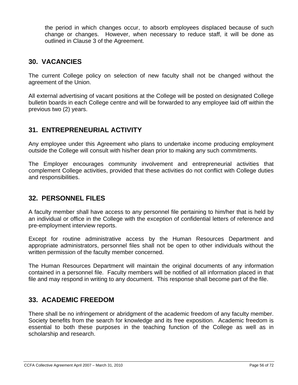the period in which changes occur, to absorb employees displaced because of such change or changes. However, when necessary to reduce staff, it will be done as outlined in Clause 3 of the Agreement.

# **30. VACANCIES**

The current College policy on selection of new faculty shall not be changed without the agreement of the Union.

All external advertising of vacant positions at the College will be posted on designated College bulletin boards in each College centre and will be forwarded to any employee laid off within the previous two (2) years.

# **31. ENTREPRENEURIAL ACTIVITY**

Any employee under this Agreement who plans to undertake income producing employment outside the College will consult with his/her dean prior to making any such commitments.

The Employer encourages community involvement and entrepreneurial activities that complement College activities, provided that these activities do not conflict with College duties and responsibilities.

# **32. PERSONNEL FILES**

A faculty member shall have access to any personnel file pertaining to him/her that is held by an individual or office in the College with the exception of confidential letters of reference and pre-employment interview reports.

Except for routine administrative access by the Human Resources Department and appropriate administrators, personnel files shall not be open to other individuals without the written permission of the faculty member concerned.

The Human Resources Department will maintain the original documents of any information contained in a personnel file. Faculty members will be notified of all information placed in that file and may respond in writing to any document. This response shall become part of the file.

# **33. ACADEMIC FREEDOM**

There shall be no infringement or abridgment of the academic freedom of any faculty member. Society benefits from the search for knowledge and its free exposition. Academic freedom is essential to both these purposes in the teaching function of the College as well as in scholarship and research.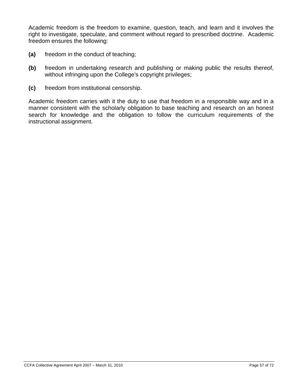Academic freedom is the freedom to examine, question, teach, and learn and it involves the right to investigate, speculate, and comment without regard to prescribed doctrine. Academic freedom ensures the following:

- **(a)** freedom in the conduct of teaching;
- **(b)** freedom in undertaking research and publishing or making public the results thereof, without infringing upon the College's copyright privileges;
- **(c)** freedom from institutional censorship.

Academic freedom carries with it the duty to use that freedom in a responsible way and in a manner consistent with the scholarly obligation to base teaching and research on an honest search for knowledge and the obligation to follow the curriculum requirements of the instructional assignment.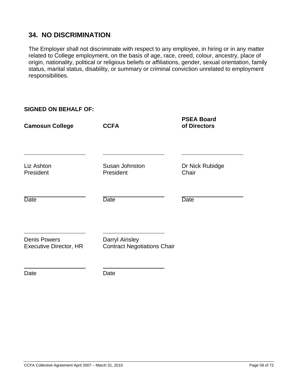# **34. NO DISCRIMINATION**

The Employer shall not discriminate with respect to any employee, in hiring or in any matter related to College employment, on the basis of age, race, creed, colour, ancestry, place of origin, nationality, political or religious beliefs or affiliations, gender, sexual orientation, family status, marital status, disability, or summary or criminal conviction unrelated to employment responsibilities.

| <b>SIGNED ON BEHALF OF:</b>                          |                                                             |                                   |
|------------------------------------------------------|-------------------------------------------------------------|-----------------------------------|
| <b>Camosun College</b>                               | <b>CCFA</b>                                                 | <b>PSEA Board</b><br>of Directors |
| Liz Ashton<br>President                              | Susan Johnston<br>President                                 | Dr Nick Rubidge<br>Chair          |
| <b>Date</b>                                          | <b>Date</b>                                                 | <b>Date</b>                       |
| <b>Denis Powers</b><br><b>Executive Director, HR</b> | <b>Darryl Ainsley</b><br><b>Contract Negotiations Chair</b> |                                   |
|                                                      |                                                             |                                   |

Date Date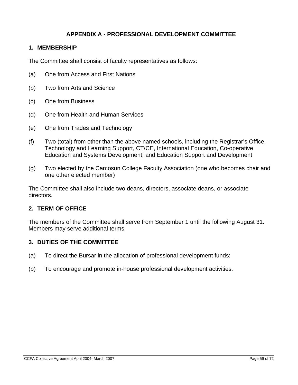# **APPENDIX A - PROFESSIONAL DEVELOPMENT COMMITTEE**

## **1. MEMBERSHIP**

The Committee shall consist of faculty representatives as follows:

- (a) One from Access and First Nations
- (b) Two from Arts and Science
- (c) One from Business
- (d) One from Health and Human Services
- (e) One from Trades and Technology
- (f) Two (total) from other than the above named schools, including the Registrar's Office, Technology and Learning Support, CT/CE, International Education, Co-operative Education and Systems Development, and Education Support and Development
- (g) Two elected by the Camosun College Faculty Association (one who becomes chair and one other elected member)

The Committee shall also include two deans, directors, associate deans, or associate directors.

### **2. TERM OF OFFICE**

The members of the Committee shall serve from September 1 until the following August 31. Members may serve additional terms.

#### **3. DUTIES OF THE COMMITTEE**

- (a) To direct the Bursar in the allocation of professional development funds;
- (b) To encourage and promote in-house professional development activities.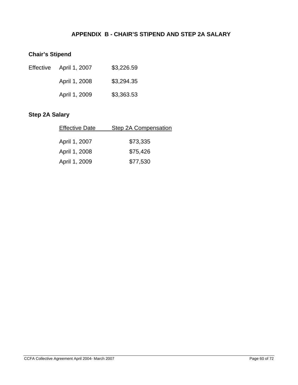# **APPENDIX B - CHAIR'S STIPEND AND STEP 2A SALARY**

# **Chair's Stipend**

| Effective April 1, 2007 | \$3,226.59 |
|-------------------------|------------|
| April 1, 2008           | \$3,294.35 |
| April 1, 2009           | \$3,363.53 |

# **Step 2A Salary**

| <b>Effective Date</b> | Step 2A Compensation |
|-----------------------|----------------------|
|                       |                      |
| April 1, 2007         | \$73,335             |
| April 1, 2008         | \$75,426             |
| April 1, 2009         | \$77,530             |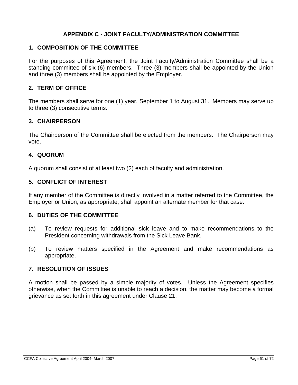# **APPENDIX C - JOINT FACULTY/ADMINISTRATION COMMITTEE**

### **1. COMPOSITION OF THE COMMITTEE**

For the purposes of this Agreement, the Joint Faculty/Administration Committee shall be a standing committee of six (6) members. Three (3) members shall be appointed by the Union and three (3) members shall be appointed by the Employer.

## **2. TERM OF OFFICE**

The members shall serve for one (1) year, September 1 to August 31. Members may serve up to three (3) consecutive terms.

### **3. CHAIRPERSON**

The Chairperson of the Committee shall be elected from the members. The Chairperson may vote.

### **4. QUORUM**

A quorum shall consist of at least two (2) each of faculty and administration.

### **5. CONFLICT OF INTEREST**

If any member of the Committee is directly involved in a matter referred to the Committee, the Employer or Union, as appropriate, shall appoint an alternate member for that case.

#### **6. DUTIES OF THE COMMITTEE**

- (a) To review requests for additional sick leave and to make recommendations to the President concerning withdrawals from the Sick Leave Bank.
- (b) To review matters specified in the Agreement and make recommendations as appropriate.

## **7. RESOLUTION OF ISSUES**

A motion shall be passed by a simple majority of votes. Unless the Agreement specifies otherwise, when the Committee is unable to reach a decision, the matter may become a formal grievance as set forth in this agreement under Clause 21.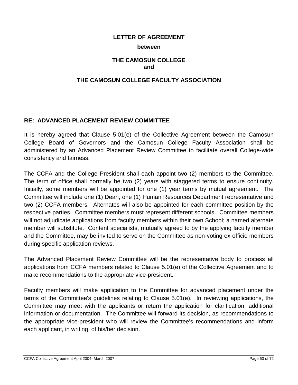#### **between**

## **THE CAMOSUN COLLEGE and**

## **THE CAMOSUN COLLEGE FACULTY ASSOCIATION**

## **RE: ADVANCED PLACEMENT REVIEW COMMITTEE**

It is hereby agreed that Clause 5.01(e) of the Collective Agreement between the Camosun College Board of Governors and the Camosun College Faculty Association shall be administered by an Advanced Placement Review Committee to facilitate overall College-wide consistency and fairness.

The CCFA and the College President shall each appoint two (2) members to the Committee. The term of office shall normally be two (2) years with staggered terms to ensure continuity. Initially, some members will be appointed for one (1) year terms by mutual agreement. The Committee will include one (1) Dean, one (1) Human Resources Department representative and two (2) CCFA members. Alternates will also be appointed for each committee position by the respective parties. Committee members must represent different schools. Committee members will not adjudicate applications from faculty members within their own School; a named alternate member will substitute. Content specialists, mutually agreed to by the applying faculty member and the Committee, may be invited to serve on the Committee as non-voting ex-officio members during specific application reviews.

The Advanced Placement Review Committee will be the representative body to process all applications from CCFA members related to Clause 5.01(e) of the Collective Agreement and to make recommendations to the appropriate vice-president.

Faculty members will make application to the Committee for advanced placement under the terms of the Committee's guidelines relating to Clause 5.01(e). In reviewing applications, the Committee may meet with the applicants or return the application for clarification, additional information or documentation. The Committee will forward its decision, as recommendations to the appropriate vice-president who will review the Committee's recommendations and inform each applicant, in writing, of his/her decision.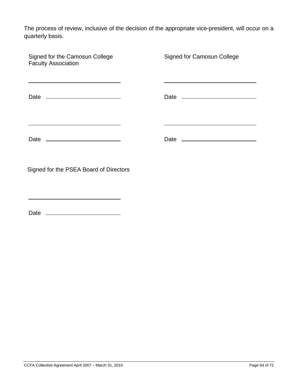The process of review, inclusive of the decision of the appropriate vice-president, will occur on a quarterly basis.

| Signed for the Camosun College<br><b>Faculty Association</b> | <b>Signed for Camosun College</b> |
|--------------------------------------------------------------|-----------------------------------|
| Date ___________________________                             |                                   |
|                                                              |                                   |
| Signed for the PSEA Board of Directors                       |                                   |

Date

<u> 1980 - Johann Barbara, martxa alemaniar a</u>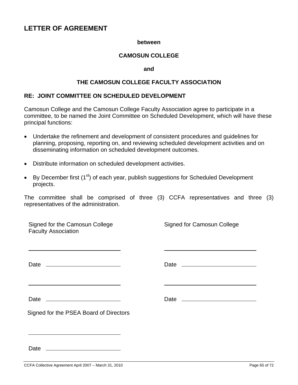#### **between**

## **CAMOSUN COLLEGE**

#### **and**

### **THE CAMOSUN COLLEGE FACULTY ASSOCIATION**

### **RE: JOINT COMMITTEE ON SCHEDULED DEVELOPMENT**

Camosun College and the Camosun College Faculty Association agree to participate in a committee, to be named the Joint Committee on Scheduled Development, which will have these principal functions:

- Undertake the refinement and development of consistent procedures and guidelines for planning, proposing, reporting on, and reviewing scheduled development activities and on disseminating information on scheduled development outcomes.
- Distribute information on scheduled development activities.
- By December first  $(1^{st})$  of each year, publish suggestions for Scheduled Development projects.

The committee shall be comprised of three (3) CCFA representatives and three (3) representatives of the administration.

| Signed for the Camosun College<br><b>Faculty Association</b> | <b>Signed for Camosun College</b> |
|--------------------------------------------------------------|-----------------------------------|
|                                                              |                                   |
|                                                              |                                   |
|                                                              |                                   |
|                                                              |                                   |
| Signed for the PSEA Board of Directors                       |                                   |
|                                                              |                                   |
| Date                                                         |                                   |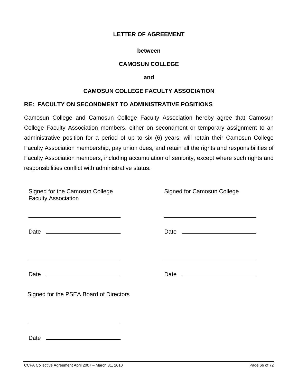#### **between**

## **CAMOSUN COLLEGE**

**and** 

### **CAMOSUN COLLEGE FACULTY ASSOCIATION**

### **RE: FACULTY ON SECONDMENT TO ADMINISTRATIVE POSITIONS**

Camosun College and Camosun College Faculty Association hereby agree that Camosun College Faculty Association members, either on secondment or temporary assignment to an administrative position for a period of up to six (6) years, will retain their Camosun College Faculty Association membership, pay union dues, and retain all the rights and responsibilities of Faculty Association members, including accumulation of seniority, except where such rights and responsibilities conflict with administrative status.

| Signed for the Camosun College<br><b>Faculty Association</b> | Signed for Camosun College |
|--------------------------------------------------------------|----------------------------|
| Date ___________________________                             |                            |
|                                                              |                            |
| Signed for the PSEA Board of Directors                       |                            |

Date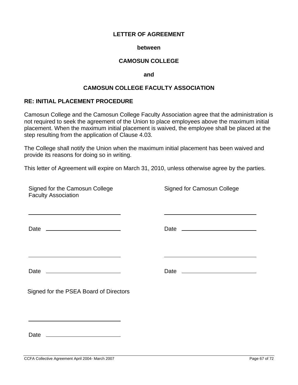#### **between**

### **CAMOSUN COLLEGE**

#### **and**

### **CAMOSUN COLLEGE FACULTY ASSOCIATION**

#### **RE: INITIAL PLACEMENT PROCEDURE**

Camosun College and the Camosun College Faculty Association agree that the administration is not required to seek the agreement of the Union to place employees above the maximum initial placement. When the maximum initial placement is waived, the employee shall be placed at the step resulting from the application of Clause 4.03.

The College shall notify the Union when the maximum initial placement has been waived and provide its reasons for doing so in writing.

This letter of Agreement will expire on March 31, 2010, unless otherwise agree by the parties.

| Signed for the Camosun College<br><b>Faculty Association</b> | <b>Signed for Camosun College</b> |
|--------------------------------------------------------------|-----------------------------------|
| <u> 1989 - Johann Stoff, amerikansk politiker (* 1908)</u>   |                                   |
|                                                              |                                   |
|                                                              |                                   |
|                                                              |                                   |
|                                                              |                                   |
| Signed for the PSEA Board of Directors                       |                                   |
|                                                              |                                   |
|                                                              |                                   |

Date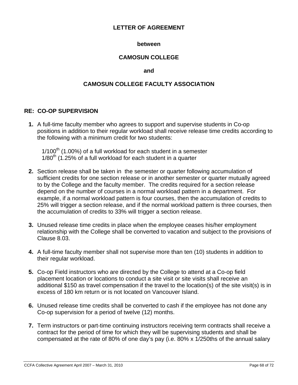### **between**

## **CAMOSUN COLLEGE**

#### **and**

## **CAMOSUN COLLEGE FACULTY ASSOCIATION**

## **RE: CO-OP SUPERVISION**

**1.** A full-time faculty member who agrees to support and supervise students in Co-op positions in addition to their regular workload shall receive release time credits according to the following with a minimum credit for two students:

 $1/100<sup>th</sup>$  (1.00%) of a full workload for each student in a semester  $1/80<sup>th</sup>$  (1.25% of a full workload for each student in a quarter

- **2.** Section release shall be taken in the semester or quarter following accumulation of sufficient credits for one section release or in another semester or quarter mutually agreed to by the College and the faculty member. The credits required for a section release depend on the number of courses in a normal workload pattern in a department. For example, if a normal workload pattern is four courses, then the accumulation of credits to 25% will trigger a section release, and if the normal workload pattern is three courses, then the accumulation of credits to 33% will trigger a section release.
- **3.** Unused release time credits in place when the employee ceases his/her employment relationship with the College shall be converted to vacation and subject to the provisions of Clause 8.03.
- **4.** A full-time faculty member shall not supervise more than ten (10) students in addition to their regular workload.
- **5.** Co-op Field instructors who are directed by the College to attend at a Co-op field placement location or locations to conduct a site visit or site visits shall receive an additional \$150 as travel compensation if the travel to the location(s) of the site visit(s) is in excess of 180 km return or is not located on Vancouver Island.
- **6.** Unused release time credits shall be converted to cash if the employee has not done any Co-op supervision for a period of twelve (12) months.
- **7.** Term instructors or part-time continuing instructors receiving term contracts shall receive a contract for the period of time for which they will be supervising students and shall be compensated at the rate of 80% of one day's pay (i.e. 80% x 1/250ths of the annual salary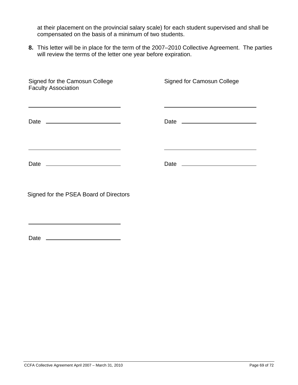at their placement on the provincial salary scale) for each student supervised and shall be compensated on the basis of a minimum of two students.

**8.** This letter will be in place for the term of the 2007–2010 Collective Agreement. The parties will review the terms of the letter one year before expiration.

| Signed for the Camosun College<br><b>Faculty Association</b>                                                                                                                                                                  | Signed for Camosun College |
|-------------------------------------------------------------------------------------------------------------------------------------------------------------------------------------------------------------------------------|----------------------------|
| the control of the control of the control of the control of the control of the control of the control of the control of the control of the control of the control of the control of the control of the control of the control |                            |
|                                                                                                                                                                                                                               |                            |

Signed for the PSEA Board of Directors

Date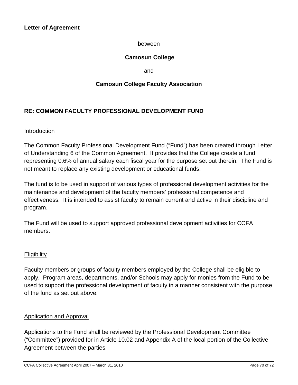### between

# **Camosun College**

and

## **Camosun College Faculty Association**

# **RE: COMMON FACULTY PROFESSIONAL DEVELOPMENT FUND**

### Introduction

The Common Faculty Professional Development Fund ("Fund") has been created through Letter of Understanding 6 of the Common Agreement. It provides that the College create a fund representing 0.6% of annual salary each fiscal year for the purpose set out therein. The Fund is not meant to replace any existing development or educational funds.

The fund is to be used in support of various types of professional development activities for the maintenance and development of the faculty members' professional competence and effectiveness. It is intended to assist faculty to remain current and active in their discipline and program.

The Fund will be used to support approved professional development activities for CCFA members.

#### **Eligibility**

Faculty members or groups of faculty members employed by the College shall be eligible to apply. Program areas, departments, and/or Schools may apply for monies from the Fund to be used to support the professional development of faculty in a manner consistent with the purpose of the fund as set out above.

## Application and Approval

Applications to the Fund shall be reviewed by the Professional Development Committee ("Committee") provided for in Article 10.02 and Appendix A of the local portion of the Collective Agreement between the parties.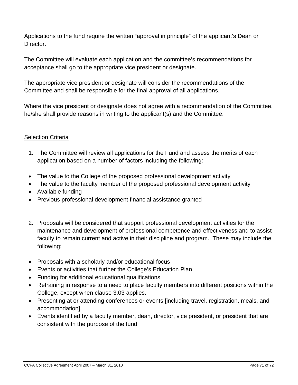Applications to the fund require the written "approval in principle" of the applicant's Dean or Director.

The Committee will evaluate each application and the committee's recommendations for acceptance shall go to the appropriate vice president or designate.

The appropriate vice president or designate will consider the recommendations of the Committee and shall be responsible for the final approval of all applications.

Where the vice president or designate does not agree with a recommendation of the Committee, he/she shall provide reasons in writing to the applicant(s) and the Committee.

## Selection Criteria

- 1. The Committee will review all applications for the Fund and assess the merits of each application based on a number of factors including the following:
- The value to the College of the proposed professional development activity
- The value to the faculty member of the proposed professional development activity
- Available funding
- Previous professional development financial assistance granted
- 2. Proposals will be considered that support professional development activities for the maintenance and development of professional competence and effectiveness and to assist faculty to remain current and active in their discipline and program. These may include the following:
- Proposals with a scholarly and/or educational focus
- Events or activities that further the College's Education Plan
- Funding for additional educational qualifications
- Retraining in response to a need to place faculty members into different positions within the College, except when clause 3.03 applies.
- Presenting at or attending conferences or events [including travel, registration, meals, and accommodation].
- Events identified by a faculty member, dean, director, vice president, or president that are consistent with the purpose of the fund